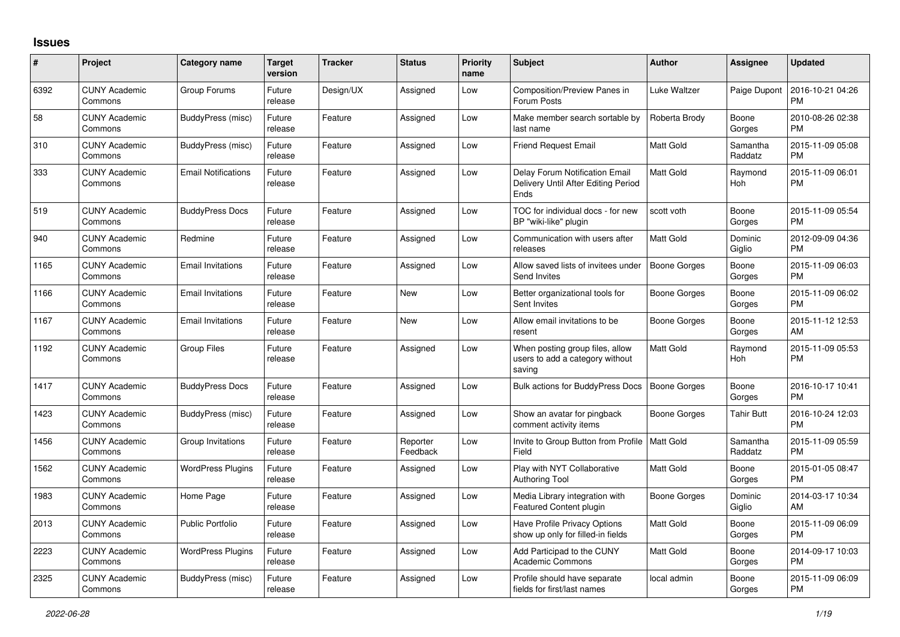## **Issues**

| #    | Project                         | <b>Category name</b>       | <b>Target</b><br>version | <b>Tracker</b> | <b>Status</b>        | Priority<br>name | <b>Subject</b>                                                                       | <b>Author</b>       | <b>Assignee</b>     | <b>Updated</b>                |
|------|---------------------------------|----------------------------|--------------------------|----------------|----------------------|------------------|--------------------------------------------------------------------------------------|---------------------|---------------------|-------------------------------|
| 6392 | <b>CUNY Academic</b><br>Commons | Group Forums               | Future<br>release        | Design/UX      | Assigned             | Low              | Composition/Preview Panes in<br>Forum Posts                                          | Luke Waltzer        | Paige Dupont        | 2016-10-21 04:26<br><b>PM</b> |
| 58   | <b>CUNY Academic</b><br>Commons | BuddyPress (misc)          | Future<br>release        | Feature        | Assigned             | Low              | Make member search sortable by<br>last name                                          | Roberta Brody       | Boone<br>Gorges     | 2010-08-26 02:38<br><b>PM</b> |
| 310  | <b>CUNY Academic</b><br>Commons | BuddyPress (misc)          | Future<br>release        | Feature        | Assigned             | Low              | <b>Friend Request Email</b>                                                          | <b>Matt Gold</b>    | Samantha<br>Raddatz | 2015-11-09 05:08<br><b>PM</b> |
| 333  | <b>CUNY Academic</b><br>Commons | <b>Email Notifications</b> | Future<br>release        | Feature        | Assigned             | Low              | Delay Forum Notification Email<br>Delivery Until After Editing Period<br><b>Ends</b> | Matt Gold           | Raymond<br>Hoh      | 2015-11-09 06:01<br><b>PM</b> |
| 519  | <b>CUNY Academic</b><br>Commons | <b>BuddyPress Docs</b>     | Future<br>release        | Feature        | Assigned             | Low              | TOC for individual docs - for new<br>BP "wiki-like" plugin                           | scott voth          | Boone<br>Gorges     | 2015-11-09 05:54<br><b>PM</b> |
| 940  | <b>CUNY Academic</b><br>Commons | Redmine                    | Future<br>release        | Feature        | Assigned             | Low              | Communication with users after<br>releases                                           | <b>Matt Gold</b>    | Dominic<br>Giglio   | 2012-09-09 04:36<br><b>PM</b> |
| 1165 | <b>CUNY Academic</b><br>Commons | <b>Email Invitations</b>   | Future<br>release        | Feature        | Assigned             | Low              | Allow saved lists of invitees under<br>Send Invites                                  | <b>Boone Gorges</b> | Boone<br>Gorges     | 2015-11-09 06:03<br><b>PM</b> |
| 1166 | <b>CUNY Academic</b><br>Commons | <b>Email Invitations</b>   | Future<br>release        | Feature        | <b>New</b>           | Low              | Better organizational tools for<br>Sent Invites                                      | Boone Gorges        | Boone<br>Gorges     | 2015-11-09 06:02<br><b>PM</b> |
| 1167 | <b>CUNY Academic</b><br>Commons | <b>Email Invitations</b>   | Future<br>release        | Feature        | <b>New</b>           | Low              | Allow email invitations to be<br>resent                                              | Boone Gorges        | Boone<br>Gorges     | 2015-11-12 12:53<br>AM        |
| 1192 | <b>CUNY Academic</b><br>Commons | <b>Group Files</b>         | Future<br>release        | Feature        | Assigned             | Low              | When posting group files, allow<br>users to add a category without<br>saving         | <b>Matt Gold</b>    | Raymond<br>Hoh      | 2015-11-09 05:53<br><b>PM</b> |
| 1417 | <b>CUNY Academic</b><br>Commons | <b>BuddyPress Docs</b>     | Future<br>release        | Feature        | Assigned             | Low              | Bulk actions for BuddyPress Docs                                                     | <b>Boone Gorges</b> | Boone<br>Gorges     | 2016-10-17 10:41<br><b>PM</b> |
| 1423 | <b>CUNY Academic</b><br>Commons | BuddyPress (misc)          | Future<br>release        | Feature        | Assigned             | Low              | Show an avatar for pingback<br>comment activity items                                | <b>Boone Gorges</b> | Tahir Butt          | 2016-10-24 12:03<br><b>PM</b> |
| 1456 | <b>CUNY Academic</b><br>Commons | Group Invitations          | Future<br>release        | Feature        | Reporter<br>Feedback | Low              | Invite to Group Button from Profile   Matt Gold<br>Field                             |                     | Samantha<br>Raddatz | 2015-11-09 05:59<br><b>PM</b> |
| 1562 | <b>CUNY Academic</b><br>Commons | <b>WordPress Plugins</b>   | Future<br>release        | Feature        | Assigned             | Low              | Play with NYT Collaborative<br><b>Authoring Tool</b>                                 | Matt Gold           | Boone<br>Gorges     | 2015-01-05 08:47<br><b>PM</b> |
| 1983 | <b>CUNY Academic</b><br>Commons | Home Page                  | Future<br>release        | Feature        | Assigned             | Low              | Media Library integration with<br><b>Featured Content plugin</b>                     | Boone Gorges        | Dominic<br>Giglio   | 2014-03-17 10:34<br>AM        |
| 2013 | <b>CUNY Academic</b><br>Commons | <b>Public Portfolio</b>    | Future<br>release        | Feature        | Assigned             | Low              | Have Profile Privacy Options<br>show up only for filled-in fields                    | Matt Gold           | Boone<br>Gorges     | 2015-11-09 06:09<br><b>PM</b> |
| 2223 | <b>CUNY Academic</b><br>Commons | <b>WordPress Plugins</b>   | Future<br>release        | Feature        | Assigned             | Low              | Add Participad to the CUNY<br><b>Academic Commons</b>                                | <b>Matt Gold</b>    | Boone<br>Gorges     | 2014-09-17 10:03<br><b>PM</b> |
| 2325 | <b>CUNY Academic</b><br>Commons | BuddyPress (misc)          | Future<br>release        | Feature        | Assigned             | Low              | Profile should have separate<br>fields for first/last names                          | local admin         | Boone<br>Gorges     | 2015-11-09 06:09<br><b>PM</b> |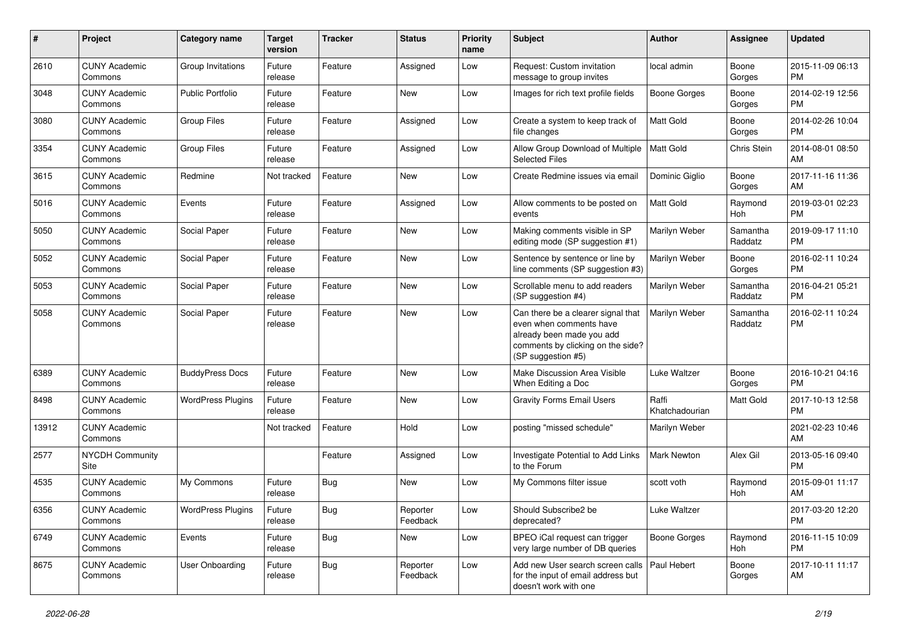| #     | Project                         | <b>Category name</b>     | <b>Target</b><br>version | <b>Tracker</b> | <b>Status</b>        | <b>Priority</b><br>name | <b>Subject</b>                                                                                                                                        | <b>Author</b>           | <b>Assignee</b>     | <b>Updated</b>                |
|-------|---------------------------------|--------------------------|--------------------------|----------------|----------------------|-------------------------|-------------------------------------------------------------------------------------------------------------------------------------------------------|-------------------------|---------------------|-------------------------------|
| 2610  | <b>CUNY Academic</b><br>Commons | Group Invitations        | Future<br>release        | Feature        | Assigned             | Low                     | Request: Custom invitation<br>message to group invites                                                                                                | local admin             | Boone<br>Gorges     | 2015-11-09 06:13<br><b>PM</b> |
| 3048  | <b>CUNY Academic</b><br>Commons | <b>Public Portfolio</b>  | Future<br>release        | Feature        | New                  | Low                     | Images for rich text profile fields                                                                                                                   | <b>Boone Gorges</b>     | Boone<br>Gorges     | 2014-02-19 12:56<br><b>PM</b> |
| 3080  | <b>CUNY Academic</b><br>Commons | <b>Group Files</b>       | Future<br>release        | Feature        | Assigned             | Low                     | Create a system to keep track of<br>file changes                                                                                                      | <b>Matt Gold</b>        | Boone<br>Gorges     | 2014-02-26 10:04<br><b>PM</b> |
| 3354  | <b>CUNY Academic</b><br>Commons | <b>Group Files</b>       | Future<br>release        | Feature        | Assigned             | Low                     | Allow Group Download of Multiple<br><b>Selected Files</b>                                                                                             | Matt Gold               | Chris Stein         | 2014-08-01 08:50<br>AM        |
| 3615  | <b>CUNY Academic</b><br>Commons | Redmine                  | Not tracked              | Feature        | New                  | Low                     | Create Redmine issues via email                                                                                                                       | Dominic Giglio          | Boone<br>Gorges     | 2017-11-16 11:36<br>AM        |
| 5016  | <b>CUNY Academic</b><br>Commons | Events                   | Future<br>release        | Feature        | Assigned             | Low                     | Allow comments to be posted on<br>events                                                                                                              | <b>Matt Gold</b>        | Raymond<br>Hoh      | 2019-03-01 02:23<br><b>PM</b> |
| 5050  | <b>CUNY Academic</b><br>Commons | Social Paper             | Future<br>release        | Feature        | New                  | Low                     | Making comments visible in SP<br>editing mode (SP suggestion #1)                                                                                      | Marilyn Weber           | Samantha<br>Raddatz | 2019-09-17 11:10<br><b>PM</b> |
| 5052  | <b>CUNY Academic</b><br>Commons | Social Paper             | Future<br>release        | Feature        | <b>New</b>           | Low                     | Sentence by sentence or line by<br>line comments (SP suggestion #3)                                                                                   | Marilyn Weber           | Boone<br>Gorges     | 2016-02-11 10:24<br><b>PM</b> |
| 5053  | <b>CUNY Academic</b><br>Commons | Social Paper             | Future<br>release        | Feature        | New                  | Low                     | Scrollable menu to add readers<br>(SP suggestion #4)                                                                                                  | Marilyn Weber           | Samantha<br>Raddatz | 2016-04-21 05:21<br><b>PM</b> |
| 5058  | <b>CUNY Academic</b><br>Commons | Social Paper             | Future<br>release        | Feature        | New                  | Low                     | Can there be a clearer signal that<br>even when comments have<br>already been made you add<br>comments by clicking on the side?<br>(SP suggestion #5) | Marilyn Weber           | Samantha<br>Raddatz | 2016-02-11 10:24<br><b>PM</b> |
| 6389  | <b>CUNY Academic</b><br>Commons | <b>BuddyPress Docs</b>   | Future<br>release        | Feature        | New                  | Low                     | Make Discussion Area Visible<br>When Editing a Doc                                                                                                    | Luke Waltzer            | Boone<br>Gorges     | 2016-10-21 04:16<br><b>PM</b> |
| 8498  | <b>CUNY Academic</b><br>Commons | <b>WordPress Plugins</b> | Future<br>release        | Feature        | <b>New</b>           | Low                     | <b>Gravity Forms Email Users</b>                                                                                                                      | Raffi<br>Khatchadourian | <b>Matt Gold</b>    | 2017-10-13 12:58<br><b>PM</b> |
| 13912 | <b>CUNY Academic</b><br>Commons |                          | Not tracked              | Feature        | Hold                 | Low                     | posting "missed schedule"                                                                                                                             | Marilyn Weber           |                     | 2021-02-23 10:46<br>AM        |
| 2577  | <b>NYCDH Community</b><br>Site  |                          |                          | Feature        | Assigned             | Low                     | Investigate Potential to Add Links<br>to the Forum                                                                                                    | Mark Newton             | Alex Gil            | 2013-05-16 09:40<br><b>PM</b> |
| 4535  | <b>CUNY Academic</b><br>Commons | My Commons               | Future<br>release        | Bug            | <b>New</b>           | Low                     | My Commons filter issue                                                                                                                               | scott voth              | Raymond<br>Hoh      | 2015-09-01 11:17<br>AM        |
| 6356  | <b>CUNY Academic</b><br>Commons | <b>WordPress Plugins</b> | Future<br>release        | Bug            | Reporter<br>Feedback | Low                     | Should Subscribe2 be<br>deprecated?                                                                                                                   | Luke Waltzer            |                     | 2017-03-20 12:20<br><b>PM</b> |
| 6749  | <b>CUNY Academic</b><br>Commons | Events                   | Future<br>release        | <b>Bug</b>     | New                  | Low                     | BPEO iCal request can trigger<br>very large number of DB queries                                                                                      | Boone Gorges            | Raymond<br>Hoh      | 2016-11-15 10:09<br>PM        |
| 8675  | <b>CUNY Academic</b><br>Commons | User Onboarding          | Future<br>release        | <b>Bug</b>     | Reporter<br>Feedback | Low                     | Add new User search screen calls<br>for the input of email address but<br>doesn't work with one                                                       | Paul Hebert             | Boone<br>Gorges     | 2017-10-11 11:17<br>AM        |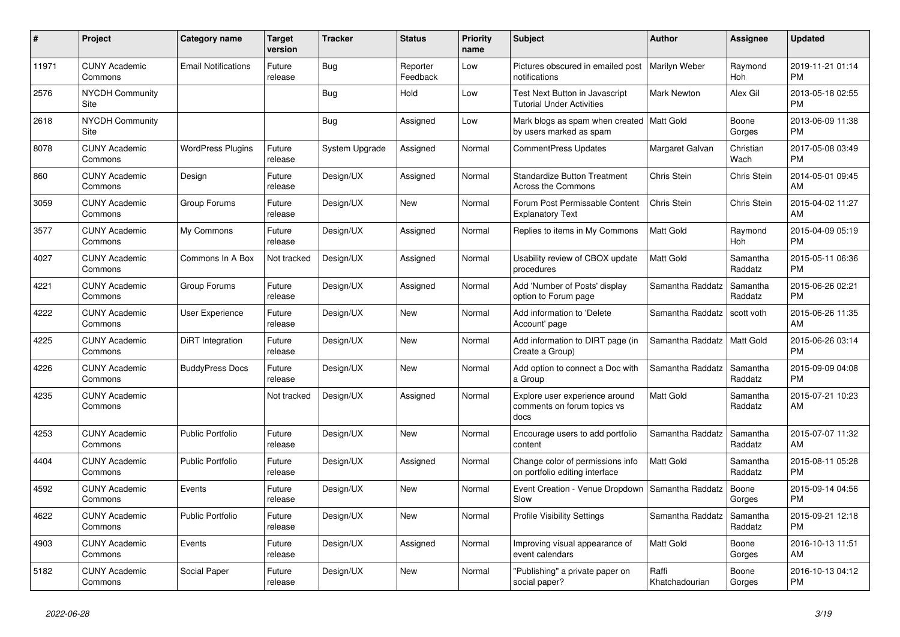| $\pmb{\#}$ | <b>Project</b>                  | Category name              | <b>Target</b><br>version | Tracker        | <b>Status</b>        | <b>Priority</b><br>name | <b>Subject</b>                                                         | <b>Author</b>           | <b>Assignee</b>       | <b>Updated</b>                |
|------------|---------------------------------|----------------------------|--------------------------|----------------|----------------------|-------------------------|------------------------------------------------------------------------|-------------------------|-----------------------|-------------------------------|
| 11971      | <b>CUNY Academic</b><br>Commons | <b>Email Notifications</b> | Future<br>release        | <b>Bug</b>     | Reporter<br>Feedback | Low                     | Pictures obscured in emailed post<br>notifications                     | Marilyn Weber           | Raymond<br><b>Hoh</b> | 2019-11-21 01:14<br><b>PM</b> |
| 2576       | <b>NYCDH Community</b><br>Site  |                            |                          | <b>Bug</b>     | Hold                 | Low                     | Test Next Button in Javascript<br><b>Tutorial Under Activities</b>     | Mark Newton             | Alex Gil              | 2013-05-18 02:55<br><b>PM</b> |
| 2618       | <b>NYCDH Community</b><br>Site  |                            |                          | Bug            | Assigned             | Low                     | Mark blogs as spam when created   Matt Gold<br>by users marked as spam |                         | Boone<br>Gorges       | 2013-06-09 11:38<br><b>PM</b> |
| 8078       | <b>CUNY Academic</b><br>Commons | <b>WordPress Plugins</b>   | Future<br>release        | System Upgrade | Assigned             | Normal                  | CommentPress Updates                                                   | Margaret Galvan         | Christian<br>Wach     | 2017-05-08 03:49<br><b>PM</b> |
| 860        | <b>CUNY Academic</b><br>Commons | Design                     | Future<br>release        | Design/UX      | Assigned             | Normal                  | <b>Standardize Button Treatment</b><br><b>Across the Commons</b>       | <b>Chris Stein</b>      | Chris Stein           | 2014-05-01 09:45<br>AM        |
| 3059       | <b>CUNY Academic</b><br>Commons | Group Forums               | Future<br>release        | Design/UX      | <b>New</b>           | Normal                  | Forum Post Permissable Content<br><b>Explanatory Text</b>              | Chris Stein             | Chris Stein           | 2015-04-02 11:27<br>AM        |
| 3577       | <b>CUNY Academic</b><br>Commons | My Commons                 | Future<br>release        | Design/UX      | Assigned             | Normal                  | Replies to items in My Commons                                         | <b>Matt Gold</b>        | Raymond<br><b>Hoh</b> | 2015-04-09 05:19<br><b>PM</b> |
| 4027       | <b>CUNY Academic</b><br>Commons | Commons In A Box           | Not tracked              | Design/UX      | Assigned             | Normal                  | Usability review of CBOX update<br>procedures                          | <b>Matt Gold</b>        | Samantha<br>Raddatz   | 2015-05-11 06:36<br><b>PM</b> |
| 4221       | <b>CUNY Academic</b><br>Commons | Group Forums               | Future<br>release        | Design/UX      | Assigned             | Normal                  | Add 'Number of Posts' display<br>option to Forum page                  | Samantha Raddatz        | Samantha<br>Raddatz   | 2015-06-26 02:21<br><b>PM</b> |
| 4222       | <b>CUNY Academic</b><br>Commons | <b>User Experience</b>     | Future<br>release        | Design/UX      | <b>New</b>           | Normal                  | Add information to 'Delete<br>Account' page                            | Samantha Raddatz        | scott voth            | 2015-06-26 11:35<br>AM        |
| 4225       | <b>CUNY Academic</b><br>Commons | DiRT Integration           | Future<br>release        | Design/UX      | <b>New</b>           | Normal                  | Add information to DIRT page (in<br>Create a Group)                    | Samantha Raddatz        | Matt Gold             | 2015-06-26 03:14<br><b>PM</b> |
| 4226       | <b>CUNY Academic</b><br>Commons | <b>BuddyPress Docs</b>     | Future<br>release        | Design/UX      | <b>New</b>           | Normal                  | Add option to connect a Doc with<br>a Group                            | Samantha Raddatz        | Samantha<br>Raddatz   | 2015-09-09 04:08<br><b>PM</b> |
| 4235       | <b>CUNY Academic</b><br>Commons |                            | Not tracked              | Design/UX      | Assigned             | Normal                  | Explore user experience around<br>comments on forum topics vs<br>docs  | <b>Matt Gold</b>        | Samantha<br>Raddatz   | 2015-07-21 10:23<br>AM        |
| 4253       | <b>CUNY Academic</b><br>Commons | <b>Public Portfolio</b>    | Future<br>release        | Design/UX      | <b>New</b>           | Normal                  | Encourage users to add portfolio<br>content                            | Samantha Raddatz        | Samantha<br>Raddatz   | 2015-07-07 11:32<br>AM        |
| 4404       | <b>CUNY Academic</b><br>Commons | <b>Public Portfolio</b>    | Future<br>release        | Design/UX      | Assigned             | Normal                  | Change color of permissions info<br>on portfolio editing interface     | <b>Matt Gold</b>        | Samantha<br>Raddatz   | 2015-08-11 05:28<br><b>PM</b> |
| 4592       | <b>CUNY Academic</b><br>Commons | Events                     | Future<br>release        | Design/UX      | <b>New</b>           | Normal                  | Event Creation - Venue Dropdown<br>Slow                                | Samantha Raddatz        | Boone<br>Gorges       | 2015-09-14 04:56<br><b>PM</b> |
| 4622       | <b>CUNY Academic</b><br>Commons | <b>Public Portfolio</b>    | Future<br>release        | Design/UX      | <b>New</b>           | Normal                  | <b>Profile Visibility Settings</b>                                     | Samantha Raddatz        | Samantha<br>Raddatz   | 2015-09-21 12:18<br><b>PM</b> |
| 4903       | <b>CUNY Academic</b><br>Commons | Events                     | Future<br>release        | Design/UX      | Assigned             | Normal                  | Improving visual appearance of<br>event calendars                      | <b>Matt Gold</b>        | Boone<br>Gorges       | 2016-10-13 11:51<br>AM        |
| 5182       | <b>CUNY Academic</b><br>Commons | Social Paper               | Future<br>release        | Design/UX      | <b>New</b>           | Normal                  | 'Publishing" a private paper on<br>social paper?                       | Raffi<br>Khatchadourian | Boone<br>Gorges       | 2016-10-13 04:12<br><b>PM</b> |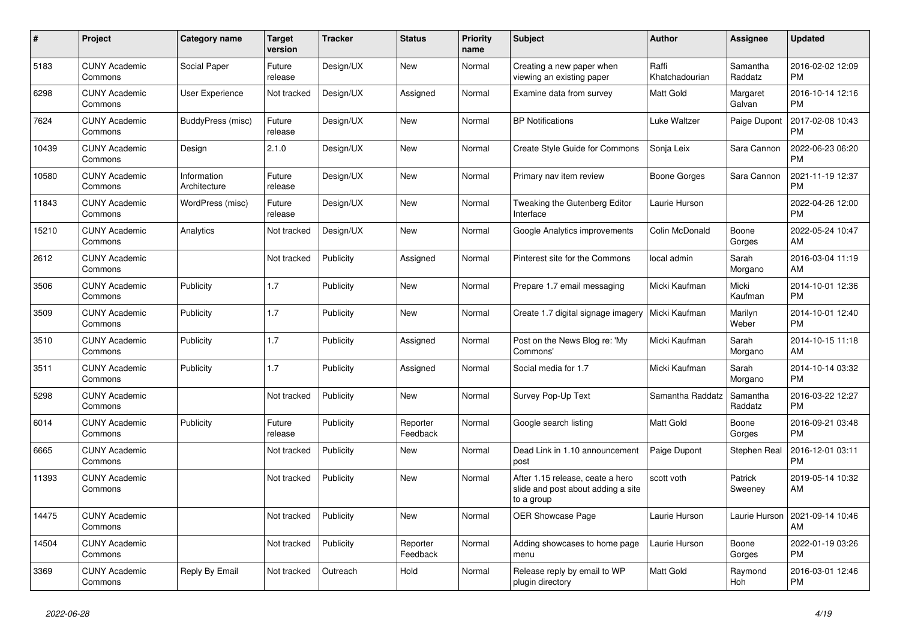| $\#$  | <b>Project</b>                  | Category name               | <b>Target</b><br>version | <b>Tracker</b> | <b>Status</b>        | Priority<br>name | <b>Subject</b>                                                                       | Author                  | <b>Assignee</b>     | <b>Updated</b>                |
|-------|---------------------------------|-----------------------------|--------------------------|----------------|----------------------|------------------|--------------------------------------------------------------------------------------|-------------------------|---------------------|-------------------------------|
| 5183  | <b>CUNY Academic</b><br>Commons | Social Paper                | Future<br>release        | Design/UX      | <b>New</b>           | Normal           | Creating a new paper when<br>viewing an existing paper                               | Raffi<br>Khatchadourian | Samantha<br>Raddatz | 2016-02-02 12:09<br><b>PM</b> |
| 6298  | <b>CUNY Academic</b><br>Commons | <b>User Experience</b>      | Not tracked              | Design/UX      | Assigned             | Normal           | Examine data from survey                                                             | <b>Matt Gold</b>        | Margaret<br>Galvan  | 2016-10-14 12:16<br><b>PM</b> |
| 7624  | <b>CUNY Academic</b><br>Commons | BuddyPress (misc)           | Future<br>release        | Design/UX      | <b>New</b>           | Normal           | <b>BP</b> Notifications                                                              | Luke Waltzer            | Paige Dupont        | 2017-02-08 10:43<br><b>PM</b> |
| 10439 | <b>CUNY Academic</b><br>Commons | Design                      | 2.1.0                    | Design/UX      | <b>New</b>           | Normal           | Create Style Guide for Commons                                                       | Sonja Leix              | Sara Cannon         | 2022-06-23 06:20<br><b>PM</b> |
| 10580 | <b>CUNY Academic</b><br>Commons | Information<br>Architecture | Future<br>release        | Design/UX      | <b>New</b>           | Normal           | Primary nav item review                                                              | Boone Gorges            | Sara Cannon         | 2021-11-19 12:37<br><b>PM</b> |
| 11843 | <b>CUNY Academic</b><br>Commons | WordPress (misc)            | Future<br>release        | Design/UX      | <b>New</b>           | Normal           | Tweaking the Gutenberg Editor<br>Interface                                           | Laurie Hurson           |                     | 2022-04-26 12:00<br><b>PM</b> |
| 15210 | <b>CUNY Academic</b><br>Commons | Analytics                   | Not tracked              | Design/UX      | <b>New</b>           | Normal           | Google Analytics improvements                                                        | Colin McDonald          | Boone<br>Gorges     | 2022-05-24 10:47<br>AM        |
| 2612  | <b>CUNY Academic</b><br>Commons |                             | Not tracked              | Publicity      | Assigned             | Normal           | Pinterest site for the Commons                                                       | local admin             | Sarah<br>Morgano    | 2016-03-04 11:19<br>AM        |
| 3506  | <b>CUNY Academic</b><br>Commons | Publicity                   | 1.7                      | Publicity      | New                  | Normal           | Prepare 1.7 email messaging                                                          | Micki Kaufman           | Micki<br>Kaufman    | 2014-10-01 12:36<br><b>PM</b> |
| 3509  | <b>CUNY Academic</b><br>Commons | Publicity                   | 1.7                      | Publicity      | <b>New</b>           | Normal           | Create 1.7 digital signage imagery                                                   | Micki Kaufman           | Marilyn<br>Weber    | 2014-10-01 12:40<br><b>PM</b> |
| 3510  | <b>CUNY Academic</b><br>Commons | Publicity                   | 1.7                      | Publicity      | Assigned             | Normal           | Post on the News Blog re: 'My<br>Commons'                                            | Micki Kaufman           | Sarah<br>Morgano    | 2014-10-15 11:18<br>AM        |
| 3511  | <b>CUNY Academic</b><br>Commons | Publicity                   | 1.7                      | Publicity      | Assigned             | Normal           | Social media for 1.7                                                                 | Micki Kaufman           | Sarah<br>Morgano    | 2014-10-14 03:32<br><b>PM</b> |
| 5298  | <b>CUNY Academic</b><br>Commons |                             | Not tracked              | Publicity      | <b>New</b>           | Normal           | Survey Pop-Up Text                                                                   | Samantha Raddatz        | Samantha<br>Raddatz | 2016-03-22 12:27<br><b>PM</b> |
| 6014  | <b>CUNY Academic</b><br>Commons | Publicity                   | Future<br>release        | Publicity      | Reporter<br>Feedback | Normal           | Google search listing                                                                | <b>Matt Gold</b>        | Boone<br>Gorges     | 2016-09-21 03:48<br><b>PM</b> |
| 6665  | <b>CUNY Academic</b><br>Commons |                             | Not tracked              | Publicity      | <b>New</b>           | Normal           | Dead Link in 1.10 announcement<br>post                                               | Paige Dupont            | Stephen Real        | 2016-12-01 03:11<br><b>PM</b> |
| 11393 | <b>CUNY Academic</b><br>Commons |                             | Not tracked              | Publicity      | <b>New</b>           | Normal           | After 1.15 release, ceate a hero<br>slide and post about adding a site<br>to a group | scott voth              | Patrick<br>Sweeney  | 2019-05-14 10:32<br>AM        |
| 14475 | <b>CUNY Academic</b><br>Commons |                             | Not tracked              | Publicity      | <b>New</b>           | Normal           | OER Showcase Page                                                                    | Laurie Hurson           | Laurie Hurson       | 2021-09-14 10:46<br>AM        |
| 14504 | <b>CUNY Academic</b><br>Commons |                             | Not tracked              | Publicity      | Reporter<br>Feedback | Normal           | Adding showcases to home page<br>menu                                                | Laurie Hurson           | Boone<br>Gorges     | 2022-01-19 03:26<br><b>PM</b> |
| 3369  | <b>CUNY Academic</b><br>Commons | Reply By Email              | Not tracked              | Outreach       | Hold                 | Normal           | Release reply by email to WP<br>plugin directory                                     | <b>Matt Gold</b>        | Raymond<br>Hoh      | 2016-03-01 12:46<br><b>PM</b> |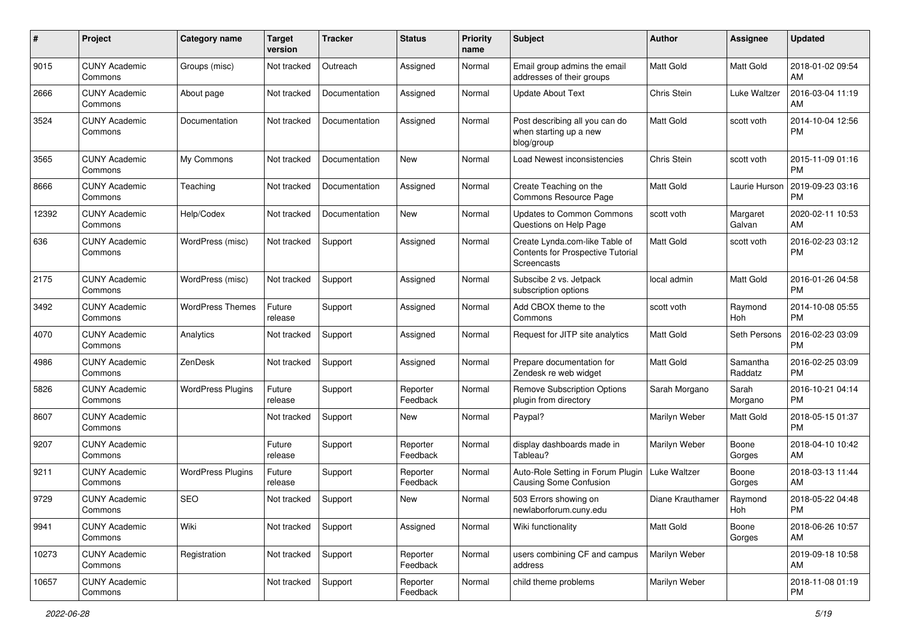| #     | Project                         | <b>Category name</b>     | <b>Target</b><br>version | <b>Tracker</b> | <b>Status</b>        | <b>Priority</b><br>name | Subject                                                                            | <b>Author</b>    | <b>Assignee</b>     | <b>Updated</b>                |
|-------|---------------------------------|--------------------------|--------------------------|----------------|----------------------|-------------------------|------------------------------------------------------------------------------------|------------------|---------------------|-------------------------------|
| 9015  | <b>CUNY Academic</b><br>Commons | Groups (misc)            | Not tracked              | Outreach       | Assigned             | Normal                  | Email group admins the email<br>addresses of their groups                          | Matt Gold        | Matt Gold           | 2018-01-02 09:54<br>AM        |
| 2666  | <b>CUNY Academic</b><br>Commons | About page               | Not tracked              | Documentation  | Assigned             | Normal                  | <b>Update About Text</b>                                                           | Chris Stein      | Luke Waltzer        | 2016-03-04 11:19<br>AM        |
| 3524  | <b>CUNY Academic</b><br>Commons | Documentation            | Not tracked              | Documentation  | Assigned             | Normal                  | Post describing all you can do<br>when starting up a new<br>blog/group             | Matt Gold        | scott voth          | 2014-10-04 12:56<br><b>PM</b> |
| 3565  | <b>CUNY Academic</b><br>Commons | My Commons               | Not tracked              | Documentation  | New                  | Normal                  | Load Newest inconsistencies                                                        | Chris Stein      | scott voth          | 2015-11-09 01:16<br><b>PM</b> |
| 8666  | <b>CUNY Academic</b><br>Commons | Teaching                 | Not tracked              | Documentation  | Assigned             | Normal                  | Create Teaching on the<br>Commons Resource Page                                    | Matt Gold        | Laurie Hurson       | 2019-09-23 03:16<br><b>PM</b> |
| 12392 | <b>CUNY Academic</b><br>Commons | Help/Codex               | Not tracked              | Documentation  | New                  | Normal                  | <b>Updates to Common Commons</b><br>Questions on Help Page                         | scott voth       | Margaret<br>Galvan  | 2020-02-11 10:53<br>AM        |
| 636   | <b>CUNY Academic</b><br>Commons | WordPress (misc)         | Not tracked              | Support        | Assigned             | Normal                  | Create Lynda.com-like Table of<br>Contents for Prospective Tutorial<br>Screencasts | Matt Gold        | scott voth          | 2016-02-23 03:12<br><b>PM</b> |
| 2175  | <b>CUNY Academic</b><br>Commons | WordPress (misc)         | Not tracked              | Support        | Assigned             | Normal                  | Subscibe 2 vs. Jetpack<br>subscription options                                     | local admin      | Matt Gold           | 2016-01-26 04:58<br><b>PM</b> |
| 3492  | <b>CUNY Academic</b><br>Commons | <b>WordPress Themes</b>  | Future<br>release        | Support        | Assigned             | Normal                  | Add CBOX theme to the<br>Commons                                                   | scott voth       | Raymond<br>Hoh      | 2014-10-08 05:55<br><b>PM</b> |
| 4070  | <b>CUNY Academic</b><br>Commons | Analytics                | Not tracked              | Support        | Assigned             | Normal                  | Request for JITP site analytics                                                    | Matt Gold        | Seth Persons        | 2016-02-23 03:09<br><b>PM</b> |
| 4986  | <b>CUNY Academic</b><br>Commons | ZenDesk                  | Not tracked              | Support        | Assigned             | Normal                  | Prepare documentation for<br>Zendesk re web widget                                 | Matt Gold        | Samantha<br>Raddatz | 2016-02-25 03:09<br><b>PM</b> |
| 5826  | <b>CUNY Academic</b><br>Commons | <b>WordPress Plugins</b> | Future<br>release        | Support        | Reporter<br>Feedback | Normal                  | <b>Remove Subscription Options</b><br>plugin from directory                        | Sarah Morgano    | Sarah<br>Morgano    | 2016-10-21 04:14<br><b>PM</b> |
| 8607  | <b>CUNY Academic</b><br>Commons |                          | Not tracked              | Support        | New                  | Normal                  | Paypal?                                                                            | Marilyn Weber    | <b>Matt Gold</b>    | 2018-05-15 01:37<br><b>PM</b> |
| 9207  | <b>CUNY Academic</b><br>Commons |                          | Future<br>release        | Support        | Reporter<br>Feedback | Normal                  | display dashboards made in<br>Tableau?                                             | Marilyn Weber    | Boone<br>Gorges     | 2018-04-10 10:42<br>AM        |
| 9211  | <b>CUNY Academic</b><br>Commons | <b>WordPress Plugins</b> | Future<br>release        | Support        | Reporter<br>Feedback | Normal                  | Auto-Role Setting in Forum Plugin   Luke Waltzer<br>Causing Some Confusion         |                  | Boone<br>Gorges     | 2018-03-13 11:44<br>AM        |
| 9729  | <b>CUNY Academic</b><br>Commons | <b>SEO</b>               | Not tracked              | Support        | New                  | Normal                  | 503 Errors showing on<br>newlaborforum.cuny.edu                                    | Diane Krauthamer | Raymond<br>Hoh      | 2018-05-22 04:48<br>PM        |
| 9941  | <b>CUNY Academic</b><br>Commons | Wiki                     | Not tracked              | Support        | Assigned             | Normal                  | Wiki functionality                                                                 | Matt Gold        | Boone<br>Gorges     | 2018-06-26 10:57<br>AM        |
| 10273 | <b>CUNY Academic</b><br>Commons | Registration             | Not tracked              | Support        | Reporter<br>Feedback | Normal                  | users combining CF and campus<br>address                                           | Marilyn Weber    |                     | 2019-09-18 10:58<br>AM        |
| 10657 | <b>CUNY Academic</b><br>Commons |                          | Not tracked              | Support        | Reporter<br>Feedback | Normal                  | child theme problems                                                               | Marilyn Weber    |                     | 2018-11-08 01:19<br><b>PM</b> |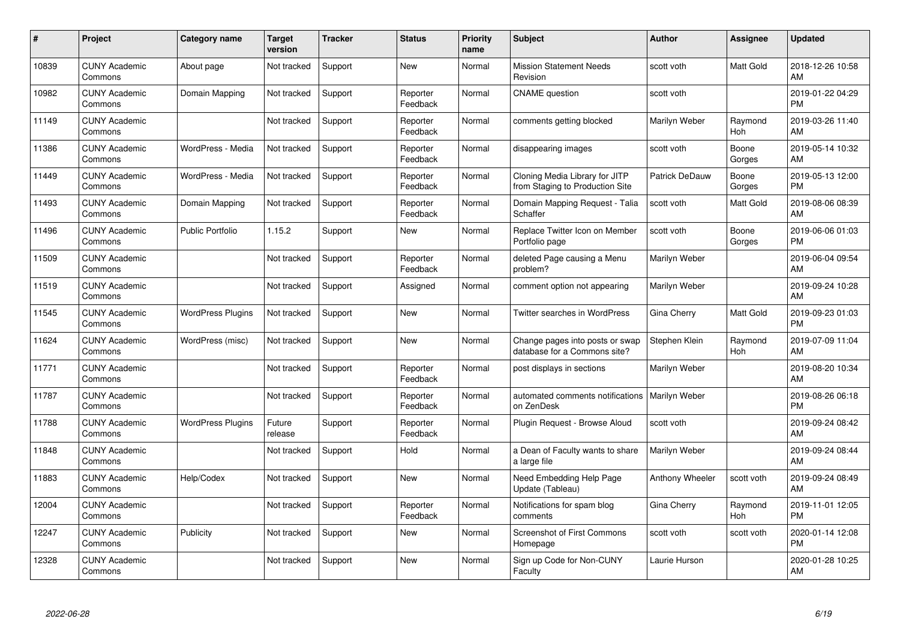| #     | Project                         | <b>Category name</b>     | Target<br>version | <b>Tracker</b> | <b>Status</b>        | <b>Priority</b><br>name | <b>Subject</b>                                                    | <b>Author</b>   | <b>Assignee</b>       | <b>Updated</b>                |
|-------|---------------------------------|--------------------------|-------------------|----------------|----------------------|-------------------------|-------------------------------------------------------------------|-----------------|-----------------------|-------------------------------|
| 10839 | <b>CUNY Academic</b><br>Commons | About page               | Not tracked       | Support        | <b>New</b>           | Normal                  | <b>Mission Statement Needs</b><br>Revision                        | scott voth      | <b>Matt Gold</b>      | 2018-12-26 10:58<br>AM        |
| 10982 | <b>CUNY Academic</b><br>Commons | Domain Mapping           | Not tracked       | Support        | Reporter<br>Feedback | Normal                  | <b>CNAME</b> question                                             | scott voth      |                       | 2019-01-22 04:29<br><b>PM</b> |
| 11149 | <b>CUNY Academic</b><br>Commons |                          | Not tracked       | Support        | Reporter<br>Feedback | Normal                  | comments getting blocked                                          | Marilyn Weber   | Raymond<br>Hoh        | 2019-03-26 11:40<br>AM        |
| 11386 | <b>CUNY Academic</b><br>Commons | WordPress - Media        | Not tracked       | Support        | Reporter<br>Feedback | Normal                  | disappearing images                                               | scott voth      | Boone<br>Gorges       | 2019-05-14 10:32<br>AM        |
| 11449 | <b>CUNY Academic</b><br>Commons | WordPress - Media        | Not tracked       | Support        | Reporter<br>Feedback | Normal                  | Cloning Media Library for JITP<br>from Staging to Production Site | Patrick DeDauw  | Boone<br>Gorges       | 2019-05-13 12:00<br><b>PM</b> |
| 11493 | <b>CUNY Academic</b><br>Commons | Domain Mapping           | Not tracked       | Support        | Reporter<br>Feedback | Normal                  | Domain Mapping Request - Talia<br>Schaffer                        | scott voth      | <b>Matt Gold</b>      | 2019-08-06 08:39<br>AM        |
| 11496 | <b>CUNY Academic</b><br>Commons | <b>Public Portfolio</b>  | 1.15.2            | Support        | <b>New</b>           | Normal                  | Replace Twitter Icon on Member<br>Portfolio page                  | scott voth      | Boone<br>Gorges       | 2019-06-06 01:03<br><b>PM</b> |
| 11509 | <b>CUNY Academic</b><br>Commons |                          | Not tracked       | Support        | Reporter<br>Feedback | Normal                  | deleted Page causing a Menu<br>problem?                           | Marilyn Weber   |                       | 2019-06-04 09:54<br>AM        |
| 11519 | <b>CUNY Academic</b><br>Commons |                          | Not tracked       | Support        | Assigned             | Normal                  | comment option not appearing                                      | Marilyn Weber   |                       | 2019-09-24 10:28<br>AM        |
| 11545 | <b>CUNY Academic</b><br>Commons | <b>WordPress Plugins</b> | Not tracked       | Support        | <b>New</b>           | Normal                  | Twitter searches in WordPress                                     | Gina Cherry     | <b>Matt Gold</b>      | 2019-09-23 01:03<br><b>PM</b> |
| 11624 | <b>CUNY Academic</b><br>Commons | WordPress (misc)         | Not tracked       | Support        | <b>New</b>           | Normal                  | Change pages into posts or swap<br>database for a Commons site?   | Stephen Klein   | Raymond<br>Hoh        | 2019-07-09 11:04<br>AM        |
| 11771 | <b>CUNY Academic</b><br>Commons |                          | Not tracked       | Support        | Reporter<br>Feedback | Normal                  | post displays in sections                                         | Marilyn Weber   |                       | 2019-08-20 10:34<br>AM        |
| 11787 | <b>CUNY Academic</b><br>Commons |                          | Not tracked       | Support        | Reporter<br>Feedback | Normal                  | automated comments notifications   Marilyn Weber<br>on ZenDesk    |                 |                       | 2019-08-26 06:18<br><b>PM</b> |
| 11788 | <b>CUNY Academic</b><br>Commons | <b>WordPress Plugins</b> | Future<br>release | Support        | Reporter<br>Feedback | Normal                  | Plugin Request - Browse Aloud                                     | scott voth      |                       | 2019-09-24 08:42<br>AM        |
| 11848 | <b>CUNY Academic</b><br>Commons |                          | Not tracked       | Support        | Hold                 | Normal                  | a Dean of Faculty wants to share<br>a large file                  | Marilyn Weber   |                       | 2019-09-24 08:44<br>AM        |
| 11883 | <b>CUNY Academic</b><br>Commons | Help/Codex               | Not tracked       | Support        | <b>New</b>           | Normal                  | Need Embedding Help Page<br>Update (Tableau)                      | Anthony Wheeler | scott voth            | 2019-09-24 08:49<br>AM        |
| 12004 | <b>CUNY Academic</b><br>Commons |                          | Not tracked       | Support        | Reporter<br>Feedback | Normal                  | Notifications for spam blog<br>comments                           | Gina Cherry     | Raymond<br><b>Hoh</b> | 2019-11-01 12:05<br><b>PM</b> |
| 12247 | <b>CUNY Academic</b><br>Commons | Publicity                | Not tracked       | Support        | New                  | Normal                  | Screenshot of First Commons<br>Homepage                           | scott voth      | scott voth            | 2020-01-14 12:08<br><b>PM</b> |
| 12328 | <b>CUNY Academic</b><br>Commons |                          | Not tracked       | Support        | <b>New</b>           | Normal                  | Sign up Code for Non-CUNY<br>Faculty                              | Laurie Hurson   |                       | 2020-01-28 10:25<br>AM        |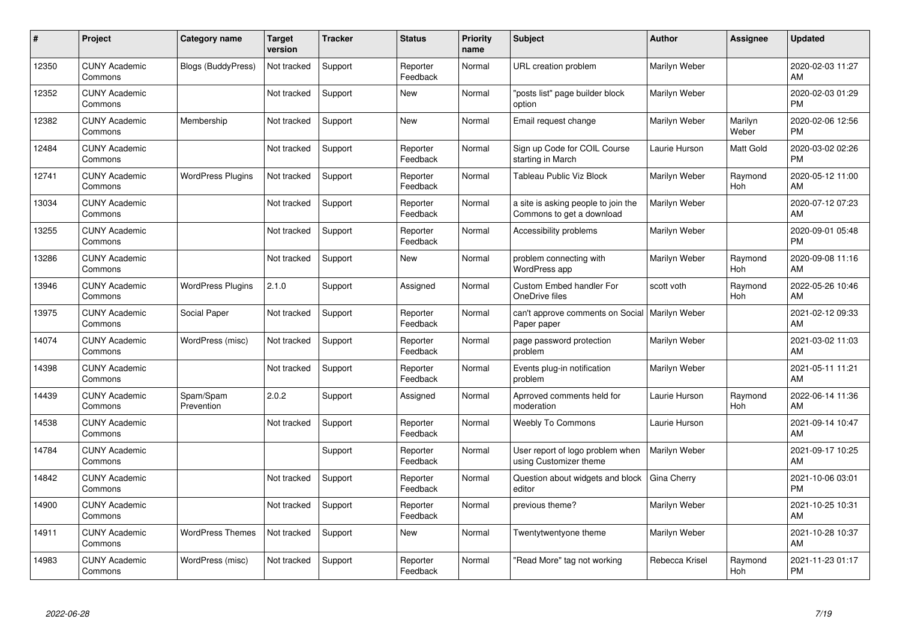| #     | Project                         | <b>Category name</b>      | Target<br>version | <b>Tracker</b> | <b>Status</b>        | <b>Priority</b><br>name | <b>Subject</b>                                                   | <b>Author</b>  | <b>Assignee</b>       | <b>Updated</b>                |
|-------|---------------------------------|---------------------------|-------------------|----------------|----------------------|-------------------------|------------------------------------------------------------------|----------------|-----------------------|-------------------------------|
| 12350 | <b>CUNY Academic</b><br>Commons | <b>Blogs (BuddyPress)</b> | Not tracked       | Support        | Reporter<br>Feedback | Normal                  | <b>URL</b> creation problem                                      | Marilyn Weber  |                       | 2020-02-03 11:27<br>AM        |
| 12352 | <b>CUNY Academic</b><br>Commons |                           | Not tracked       | Support        | New                  | Normal                  | "posts list" page builder block<br>option                        | Marilyn Weber  |                       | 2020-02-03 01:29<br><b>PM</b> |
| 12382 | <b>CUNY Academic</b><br>Commons | Membership                | Not tracked       | Support        | <b>New</b>           | Normal                  | Email request change                                             | Marilyn Weber  | Marilyn<br>Weber      | 2020-02-06 12:56<br><b>PM</b> |
| 12484 | <b>CUNY Academic</b><br>Commons |                           | Not tracked       | Support        | Reporter<br>Feedback | Normal                  | Sign up Code for COIL Course<br>starting in March                | Laurie Hurson  | Matt Gold             | 2020-03-02 02:26<br><b>PM</b> |
| 12741 | <b>CUNY Academic</b><br>Commons | <b>WordPress Plugins</b>  | Not tracked       | Support        | Reporter<br>Feedback | Normal                  | <b>Tableau Public Viz Block</b>                                  | Marilyn Weber  | Raymond<br><b>Hoh</b> | 2020-05-12 11:00<br>AM        |
| 13034 | <b>CUNY Academic</b><br>Commons |                           | Not tracked       | Support        | Reporter<br>Feedback | Normal                  | a site is asking people to join the<br>Commons to get a download | Marilyn Weber  |                       | 2020-07-12 07:23<br>AM        |
| 13255 | <b>CUNY Academic</b><br>Commons |                           | Not tracked       | Support        | Reporter<br>Feedback | Normal                  | Accessibility problems                                           | Marilyn Weber  |                       | 2020-09-01 05:48<br><b>PM</b> |
| 13286 | <b>CUNY Academic</b><br>Commons |                           | Not tracked       | Support        | <b>New</b>           | Normal                  | problem connecting with<br><b>WordPress app</b>                  | Marilyn Weber  | Raymond<br><b>Hoh</b> | 2020-09-08 11:16<br>AM        |
| 13946 | <b>CUNY Academic</b><br>Commons | <b>WordPress Plugins</b>  | 2.1.0             | Support        | Assigned             | Normal                  | Custom Embed handler For<br>OneDrive files                       | scott voth     | Raymond<br>Hoh        | 2022-05-26 10:46<br>AM        |
| 13975 | <b>CUNY Academic</b><br>Commons | Social Paper              | Not tracked       | Support        | Reporter<br>Feedback | Normal                  | can't approve comments on Social   Marilyn Weber<br>Paper paper  |                |                       | 2021-02-12 09:33<br>AM        |
| 14074 | <b>CUNY Academic</b><br>Commons | WordPress (misc)          | Not tracked       | Support        | Reporter<br>Feedback | Normal                  | page password protection<br>problem                              | Marilyn Weber  |                       | 2021-03-02 11:03<br>AM        |
| 14398 | <b>CUNY Academic</b><br>Commons |                           | Not tracked       | Support        | Reporter<br>Feedback | Normal                  | Events plug-in notification<br>problem                           | Marilyn Weber  |                       | 2021-05-11 11:21<br>AM        |
| 14439 | <b>CUNY Academic</b><br>Commons | Spam/Spam<br>Prevention   | 2.0.2             | Support        | Assigned             | Normal                  | Aprroved comments held for<br>moderation                         | Laurie Hurson  | Raymond<br>Hoh        | 2022-06-14 11:36<br>AM        |
| 14538 | <b>CUNY Academic</b><br>Commons |                           | Not tracked       | Support        | Reporter<br>Feedback | Normal                  | <b>Weebly To Commons</b>                                         | Laurie Hurson  |                       | 2021-09-14 10:47<br>AM        |
| 14784 | <b>CUNY Academic</b><br>Commons |                           |                   | Support        | Reporter<br>Feedback | Normal                  | User report of logo problem when<br>using Customizer theme       | Marilyn Weber  |                       | 2021-09-17 10:25<br>AM        |
| 14842 | <b>CUNY Academic</b><br>Commons |                           | Not tracked       | Support        | Reporter<br>Feedback | Normal                  | Question about widgets and block<br>editor                       | Gina Cherry    |                       | 2021-10-06 03:01<br><b>PM</b> |
| 14900 | <b>CUNY Academic</b><br>Commons |                           | Not tracked       | Support        | Reporter<br>Feedback | Normal                  | previous theme?                                                  | Marilyn Weber  |                       | 2021-10-25 10:31<br>AM        |
| 14911 | <b>CUNY Academic</b><br>Commons | <b>WordPress Themes</b>   | Not tracked       | Support        | New                  | Normal                  | Twentytwentyone theme                                            | Marilyn Weber  |                       | 2021-10-28 10:37<br>AM        |
| 14983 | <b>CUNY Academic</b><br>Commons | WordPress (misc)          | Not tracked       | Support        | Reporter<br>Feedback | Normal                  | 'Read More" tag not working                                      | Rebecca Krisel | Raymond<br>Hoh        | 2021-11-23 01:17<br>PM        |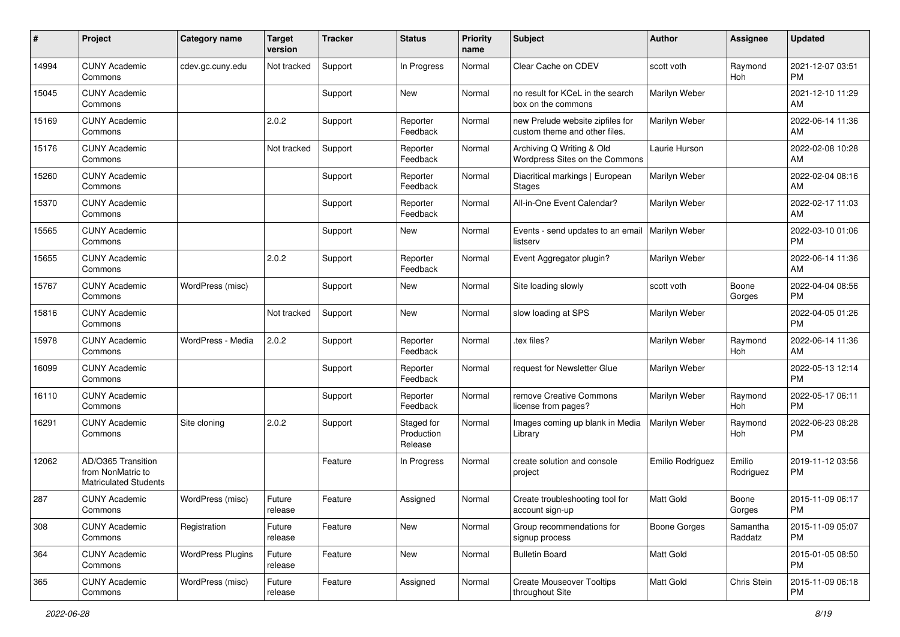| #     | Project                                                                 | <b>Category name</b>     | <b>Target</b><br>version | <b>Tracker</b> | <b>Status</b>                       | <b>Priority</b><br>name | Subject                                                           | Author              | <b>Assignee</b>     | <b>Updated</b>                |
|-------|-------------------------------------------------------------------------|--------------------------|--------------------------|----------------|-------------------------------------|-------------------------|-------------------------------------------------------------------|---------------------|---------------------|-------------------------------|
| 14994 | <b>CUNY Academic</b><br>Commons                                         | cdev.gc.cuny.edu         | Not tracked              | Support        | In Progress                         | Normal                  | Clear Cache on CDEV                                               | scott voth          | Raymond<br>Hoh      | 2021-12-07 03:51<br>PM        |
| 15045 | <b>CUNY Academic</b><br>Commons                                         |                          |                          | Support        | New                                 | Normal                  | no result for KCeL in the search<br>box on the commons            | Marilyn Weber       |                     | 2021-12-10 11:29<br>AM        |
| 15169 | <b>CUNY Academic</b><br>Commons                                         |                          | 2.0.2                    | Support        | Reporter<br>Feedback                | Normal                  | new Prelude website zipfiles for<br>custom theme and other files. | Marilyn Weber       |                     | 2022-06-14 11:36<br>AM        |
| 15176 | <b>CUNY Academic</b><br>Commons                                         |                          | Not tracked              | Support        | Reporter<br>Feedback                | Normal                  | Archiving Q Writing & Old<br>Wordpress Sites on the Commons       | Laurie Hurson       |                     | 2022-02-08 10:28<br>AM        |
| 15260 | <b>CUNY Academic</b><br>Commons                                         |                          |                          | Support        | Reporter<br>Feedback                | Normal                  | Diacritical markings   European<br><b>Stages</b>                  | Marilyn Weber       |                     | 2022-02-04 08:16<br>AM        |
| 15370 | <b>CUNY Academic</b><br>Commons                                         |                          |                          | Support        | Reporter<br>Feedback                | Normal                  | All-in-One Event Calendar?                                        | Marilyn Weber       |                     | 2022-02-17 11:03<br>AM        |
| 15565 | <b>CUNY Academic</b><br>Commons                                         |                          |                          | Support        | New                                 | Normal                  | Events - send updates to an email<br>listserv                     | Marilyn Weber       |                     | 2022-03-10 01:06<br>PM        |
| 15655 | <b>CUNY Academic</b><br>Commons                                         |                          | 2.0.2                    | Support        | Reporter<br>Feedback                | Normal                  | Event Aggregator plugin?                                          | Marilyn Weber       |                     | 2022-06-14 11:36<br>AM        |
| 15767 | <b>CUNY Academic</b><br>Commons                                         | WordPress (misc)         |                          | Support        | New                                 | Normal                  | Site loading slowly                                               | scott voth          | Boone<br>Gorges     | 2022-04-04 08:56<br><b>PM</b> |
| 15816 | <b>CUNY Academic</b><br>Commons                                         |                          | Not tracked              | Support        | New                                 | Normal                  | slow loading at SPS                                               | Marilyn Weber       |                     | 2022-04-05 01:26<br>PM        |
| 15978 | <b>CUNY Academic</b><br>Commons                                         | WordPress - Media        | 2.0.2                    | Support        | Reporter<br>Feedback                | Normal                  | tex files?                                                        | Marilyn Weber       | Raymond<br>Hoh      | 2022-06-14 11:36<br>AM        |
| 16099 | <b>CUNY Academic</b><br>Commons                                         |                          |                          | Support        | Reporter<br>Feedback                | Normal                  | request for Newsletter Glue                                       | Marilyn Weber       |                     | 2022-05-13 12:14<br><b>PM</b> |
| 16110 | <b>CUNY Academic</b><br>Commons                                         |                          |                          | Support        | Reporter<br>Feedback                | Normal                  | remove Creative Commons<br>license from pages?                    | Marilyn Weber       | Raymond<br>Hoh      | 2022-05-17 06:11<br><b>PM</b> |
| 16291 | <b>CUNY Academic</b><br>Commons                                         | Site cloning             | 2.0.2                    | Support        | Staged for<br>Production<br>Release | Normal                  | Images coming up blank in Media<br>Library                        | Marilyn Weber       | Raymond<br>Hoh      | 2022-06-23 08:28<br>PM        |
| 12062 | AD/O365 Transition<br>from NonMatric to<br><b>Matriculated Students</b> |                          |                          | Feature        | In Progress                         | Normal                  | create solution and console<br>project                            | Emilio Rodriguez    | Emilio<br>Rodriguez | 2019-11-12 03:56<br><b>PM</b> |
| 287   | <b>CUNY Academic</b><br>Commons                                         | WordPress (misc)         | Future<br>release        | Feature        | Assigned                            | Normal                  | Create troubleshooting tool for<br>account sign-up                | Matt Gold           | Boone<br>Gorges     | 2015-11-09 06:17<br>PM        |
| 308   | <b>CUNY Academic</b><br>Commons                                         | Registration             | Future<br>release        | Feature        | New                                 | Normal                  | Group recommendations for<br>signup process                       | <b>Boone Gorges</b> | Samantha<br>Raddatz | 2015-11-09 05:07<br>PM        |
| 364   | <b>CUNY Academic</b><br>Commons                                         | <b>WordPress Plugins</b> | Future<br>release        | Feature        | New                                 | Normal                  | <b>Bulletin Board</b>                                             | Matt Gold           |                     | 2015-01-05 08:50<br><b>PM</b> |
| 365   | <b>CUNY Academic</b><br>Commons                                         | WordPress (misc)         | Future<br>release        | Feature        | Assigned                            | Normal                  | <b>Create Mouseover Tooltips</b><br>throughout Site               | Matt Gold           | Chris Stein         | 2015-11-09 06:18<br><b>PM</b> |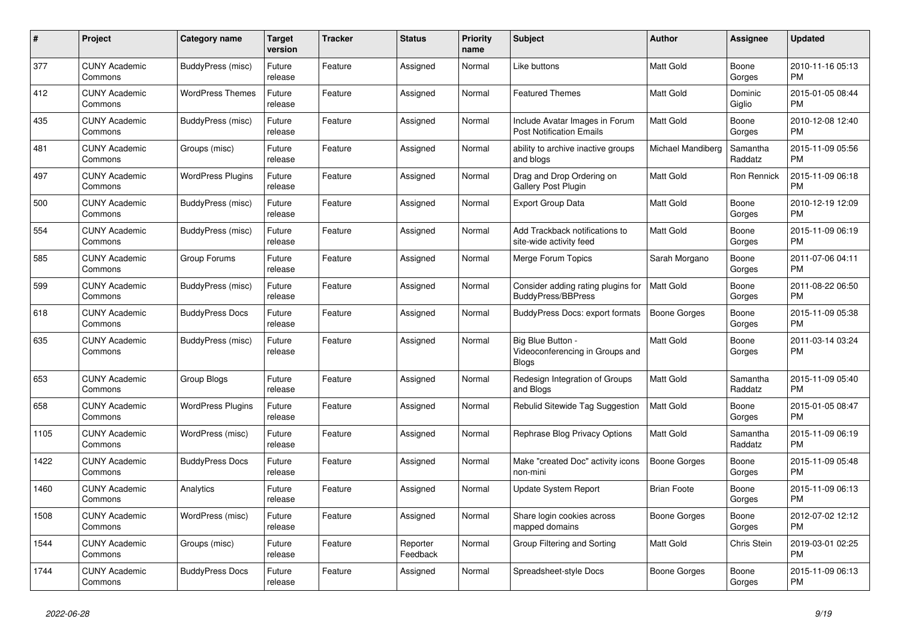| $\pmb{\#}$ | Project                         | Category name            | <b>Target</b><br>version | Tracker | <b>Status</b>        | <b>Priority</b><br>name | <b>Subject</b>                                                       | <b>Author</b>       | Assignee            | <b>Updated</b>                |
|------------|---------------------------------|--------------------------|--------------------------|---------|----------------------|-------------------------|----------------------------------------------------------------------|---------------------|---------------------|-------------------------------|
| 377        | <b>CUNY Academic</b><br>Commons | BuddyPress (misc)        | Future<br>release        | Feature | Assigned             | Normal                  | Like buttons                                                         | <b>Matt Gold</b>    | Boone<br>Gorges     | 2010-11-16 05:13<br><b>PM</b> |
| 412        | <b>CUNY Academic</b><br>Commons | <b>WordPress Themes</b>  | Future<br>release        | Feature | Assigned             | Normal                  | <b>Featured Themes</b>                                               | <b>Matt Gold</b>    | Dominic<br>Giglio   | 2015-01-05 08:44<br><b>PM</b> |
| 435        | <b>CUNY Academic</b><br>Commons | BuddyPress (misc)        | Future<br>release        | Feature | Assigned             | Normal                  | Include Avatar Images in Forum<br><b>Post Notification Emails</b>    | Matt Gold           | Boone<br>Gorges     | 2010-12-08 12:40<br><b>PM</b> |
| 481        | <b>CUNY Academic</b><br>Commons | Groups (misc)            | Future<br>release        | Feature | Assigned             | Normal                  | ability to archive inactive groups<br>and blogs                      | Michael Mandiberg   | Samantha<br>Raddatz | 2015-11-09 05:56<br><b>PM</b> |
| 497        | <b>CUNY Academic</b><br>Commons | <b>WordPress Plugins</b> | Future<br>release        | Feature | Assigned             | Normal                  | Drag and Drop Ordering on<br>Gallery Post Plugin                     | Matt Gold           | Ron Rennick         | 2015-11-09 06:18<br><b>PM</b> |
| 500        | <b>CUNY Academic</b><br>Commons | BuddyPress (misc)        | Future<br>release        | Feature | Assigned             | Normal                  | <b>Export Group Data</b>                                             | Matt Gold           | Boone<br>Gorges     | 2010-12-19 12:09<br><b>PM</b> |
| 554        | <b>CUNY Academic</b><br>Commons | BuddyPress (misc)        | Future<br>release        | Feature | Assigned             | Normal                  | Add Trackback notifications to<br>site-wide activity feed            | <b>Matt Gold</b>    | Boone<br>Gorges     | 2015-11-09 06:19<br><b>PM</b> |
| 585        | <b>CUNY Academic</b><br>Commons | Group Forums             | Future<br>release        | Feature | Assigned             | Normal                  | Merge Forum Topics                                                   | Sarah Morgano       | Boone<br>Gorges     | 2011-07-06 04:11<br><b>PM</b> |
| 599        | <b>CUNY Academic</b><br>Commons | BuddyPress (misc)        | Future<br>release        | Feature | Assigned             | Normal                  | Consider adding rating plugins for<br><b>BuddyPress/BBPress</b>      | Matt Gold           | Boone<br>Gorges     | 2011-08-22 06:50<br><b>PM</b> |
| 618        | <b>CUNY Academic</b><br>Commons | <b>BuddyPress Docs</b>   | Future<br>release        | Feature | Assigned             | Normal                  | BuddyPress Docs: export formats                                      | <b>Boone Gorges</b> | Boone<br>Gorges     | 2015-11-09 05:38<br><b>PM</b> |
| 635        | <b>CUNY Academic</b><br>Commons | BuddyPress (misc)        | Future<br>release        | Feature | Assigned             | Normal                  | Big Blue Button -<br>Videoconferencing in Groups and<br><b>Blogs</b> | <b>Matt Gold</b>    | Boone<br>Gorges     | 2011-03-14 03:24<br><b>PM</b> |
| 653        | <b>CUNY Academic</b><br>Commons | Group Blogs              | Future<br>release        | Feature | Assigned             | Normal                  | Redesign Integration of Groups<br>and Blogs                          | <b>Matt Gold</b>    | Samantha<br>Raddatz | 2015-11-09 05:40<br><b>PM</b> |
| 658        | <b>CUNY Academic</b><br>Commons | <b>WordPress Plugins</b> | Future<br>release        | Feature | Assigned             | Normal                  | Rebulid Sitewide Tag Suggestion                                      | Matt Gold           | Boone<br>Gorges     | 2015-01-05 08:47<br><b>PM</b> |
| 1105       | <b>CUNY Academic</b><br>Commons | WordPress (misc)         | Future<br>release        | Feature | Assigned             | Normal                  | Rephrase Blog Privacy Options                                        | <b>Matt Gold</b>    | Samantha<br>Raddatz | 2015-11-09 06:19<br><b>PM</b> |
| 1422       | <b>CUNY Academic</b><br>Commons | <b>BuddyPress Docs</b>   | Future<br>release        | Feature | Assigned             | Normal                  | Make "created Doc" activity icons<br>non-mini                        | Boone Gorges        | Boone<br>Gorges     | 2015-11-09 05:48<br><b>PM</b> |
| 1460       | <b>CUNY Academic</b><br>Commons | Analytics                | Future<br>release        | Feature | Assigned             | Normal                  | Update System Report                                                 | <b>Brian Foote</b>  | Boone<br>Gorges     | 2015-11-09 06:13<br><b>PM</b> |
| 1508       | <b>CUNY Academic</b><br>Commons | WordPress (misc)         | Future<br>release        | Feature | Assigned             | Normal                  | Share login cookies across<br>mapped domains                         | <b>Boone Gorges</b> | Boone<br>Gorges     | 2012-07-02 12:12<br><b>PM</b> |
| 1544       | <b>CUNY Academic</b><br>Commons | Groups (misc)            | Future<br>release        | Feature | Reporter<br>Feedback | Normal                  | Group Filtering and Sorting                                          | <b>Matt Gold</b>    | Chris Stein         | 2019-03-01 02:25<br><b>PM</b> |
| 1744       | <b>CUNY Academic</b><br>Commons | <b>BuddyPress Docs</b>   | Future<br>release        | Feature | Assigned             | Normal                  | Spreadsheet-style Docs                                               | Boone Gorges        | Boone<br>Gorges     | 2015-11-09 06:13<br><b>PM</b> |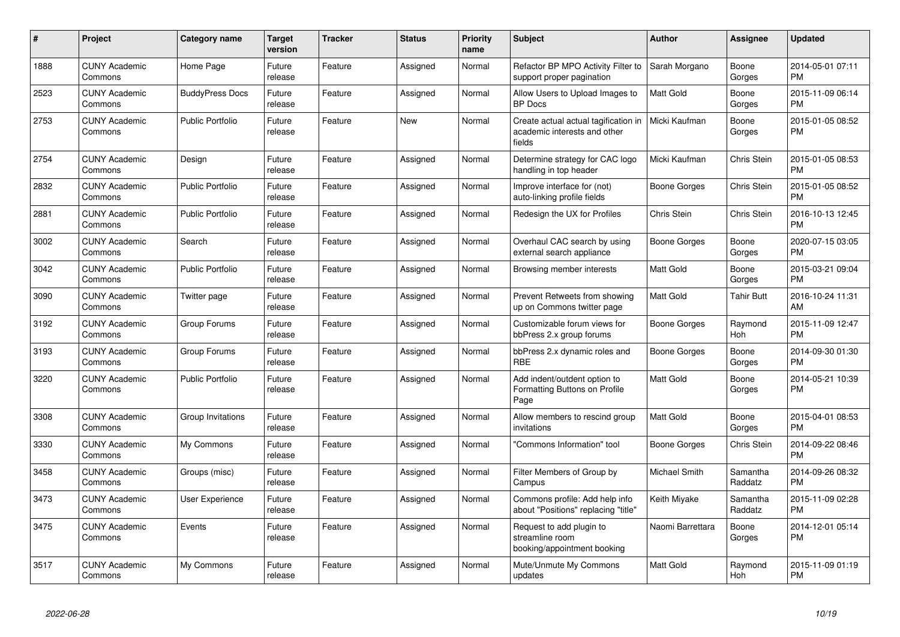| #    | <b>Project</b>                  | Category name           | <b>Target</b><br>version | <b>Tracker</b> | <b>Status</b> | <b>Priority</b><br>name | <b>Subject</b>                                                                 | Author              | <b>Assignee</b>       | <b>Updated</b>                |
|------|---------------------------------|-------------------------|--------------------------|----------------|---------------|-------------------------|--------------------------------------------------------------------------------|---------------------|-----------------------|-------------------------------|
| 1888 | <b>CUNY Academic</b><br>Commons | Home Page               | Future<br>release        | Feature        | Assigned      | Normal                  | Refactor BP MPO Activity Filter to<br>support proper pagination                | Sarah Morgano       | Boone<br>Gorges       | 2014-05-01 07:11<br><b>PM</b> |
| 2523 | <b>CUNY Academic</b><br>Commons | <b>BuddyPress Docs</b>  | Future<br>release        | Feature        | Assigned      | Normal                  | Allow Users to Upload Images to<br><b>BP</b> Docs                              | <b>Matt Gold</b>    | Boone<br>Gorges       | 2015-11-09 06:14<br><b>PM</b> |
| 2753 | <b>CUNY Academic</b><br>Commons | <b>Public Portfolio</b> | Future<br>release        | Feature        | <b>New</b>    | Normal                  | Create actual actual tagification in<br>academic interests and other<br>fields | Micki Kaufman       | Boone<br>Gorges       | 2015-01-05 08:52<br><b>PM</b> |
| 2754 | <b>CUNY Academic</b><br>Commons | Design                  | Future<br>release        | Feature        | Assigned      | Normal                  | Determine strategy for CAC logo<br>handling in top header                      | Micki Kaufman       | Chris Stein           | 2015-01-05 08:53<br><b>PM</b> |
| 2832 | <b>CUNY Academic</b><br>Commons | <b>Public Portfolio</b> | Future<br>release        | Feature        | Assigned      | Normal                  | Improve interface for (not)<br>auto-linking profile fields                     | Boone Gorges        | Chris Stein           | 2015-01-05 08:52<br><b>PM</b> |
| 2881 | <b>CUNY Academic</b><br>Commons | <b>Public Portfolio</b> | Future<br>release        | Feature        | Assigned      | Normal                  | Redesign the UX for Profiles                                                   | Chris Stein         | Chris Stein           | 2016-10-13 12:45<br><b>PM</b> |
| 3002 | <b>CUNY Academic</b><br>Commons | Search                  | Future<br>release        | Feature        | Assigned      | Normal                  | Overhaul CAC search by using<br>external search appliance                      | Boone Gorges        | Boone<br>Gorges       | 2020-07-15 03:05<br><b>PM</b> |
| 3042 | <b>CUNY Academic</b><br>Commons | <b>Public Portfolio</b> | Future<br>release        | Feature        | Assigned      | Normal                  | Browsing member interests                                                      | <b>Matt Gold</b>    | Boone<br>Gorges       | 2015-03-21 09:04<br><b>PM</b> |
| 3090 | <b>CUNY Academic</b><br>Commons | Twitter page            | Future<br>release        | Feature        | Assigned      | Normal                  | Prevent Retweets from showing<br>up on Commons twitter page                    | <b>Matt Gold</b>    | <b>Tahir Butt</b>     | 2016-10-24 11:31<br>AM        |
| 3192 | <b>CUNY Academic</b><br>Commons | Group Forums            | Future<br>release        | Feature        | Assigned      | Normal                  | Customizable forum views for<br>bbPress 2.x group forums                       | Boone Gorges        | Raymond<br><b>Hoh</b> | 2015-11-09 12:47<br><b>PM</b> |
| 3193 | <b>CUNY Academic</b><br>Commons | Group Forums            | Future<br>release        | Feature        | Assigned      | Normal                  | bbPress 2.x dynamic roles and<br><b>RBE</b>                                    | <b>Boone Gorges</b> | Boone<br>Gorges       | 2014-09-30 01:30<br><b>PM</b> |
| 3220 | <b>CUNY Academic</b><br>Commons | <b>Public Portfolio</b> | Future<br>release        | Feature        | Assigned      | Normal                  | Add indent/outdent option to<br>Formatting Buttons on Profile<br>Page          | <b>Matt Gold</b>    | Boone<br>Gorges       | 2014-05-21 10:39<br><b>PM</b> |
| 3308 | <b>CUNY Academic</b><br>Commons | Group Invitations       | Future<br>release        | Feature        | Assigned      | Normal                  | Allow members to rescind group<br>invitations                                  | <b>Matt Gold</b>    | Boone<br>Gorges       | 2015-04-01 08:53<br><b>PM</b> |
| 3330 | <b>CUNY Academic</b><br>Commons | My Commons              | Future<br>release        | Feature        | Assigned      | Normal                  | 'Commons Information" tool                                                     | Boone Gorges        | Chris Stein           | 2014-09-22 08:46<br><b>PM</b> |
| 3458 | <b>CUNY Academic</b><br>Commons | Groups (misc)           | Future<br>release        | Feature        | Assigned      | Normal                  | Filter Members of Group by<br>Campus                                           | Michael Smith       | Samantha<br>Raddatz   | 2014-09-26 08:32<br><b>PM</b> |
| 3473 | <b>CUNY Academic</b><br>Commons | User Experience         | Future<br>release        | Feature        | Assigned      | Normal                  | Commons profile: Add help info<br>about "Positions" replacing "title"          | Keith Miyake        | Samantha<br>Raddatz   | 2015-11-09 02:28<br><b>PM</b> |
| 3475 | <b>CUNY Academic</b><br>Commons | Events                  | Future<br>release        | Feature        | Assigned      | Normal                  | Request to add plugin to<br>streamline room<br>booking/appointment booking     | Naomi Barrettara    | Boone<br>Gorges       | 2014-12-01 05:14<br><b>PM</b> |
| 3517 | <b>CUNY Academic</b><br>Commons | My Commons              | Future<br>release        | Feature        | Assigned      | Normal                  | Mute/Unmute My Commons<br>updates                                              | <b>Matt Gold</b>    | Raymond<br><b>Hoh</b> | 2015-11-09 01:19<br><b>PM</b> |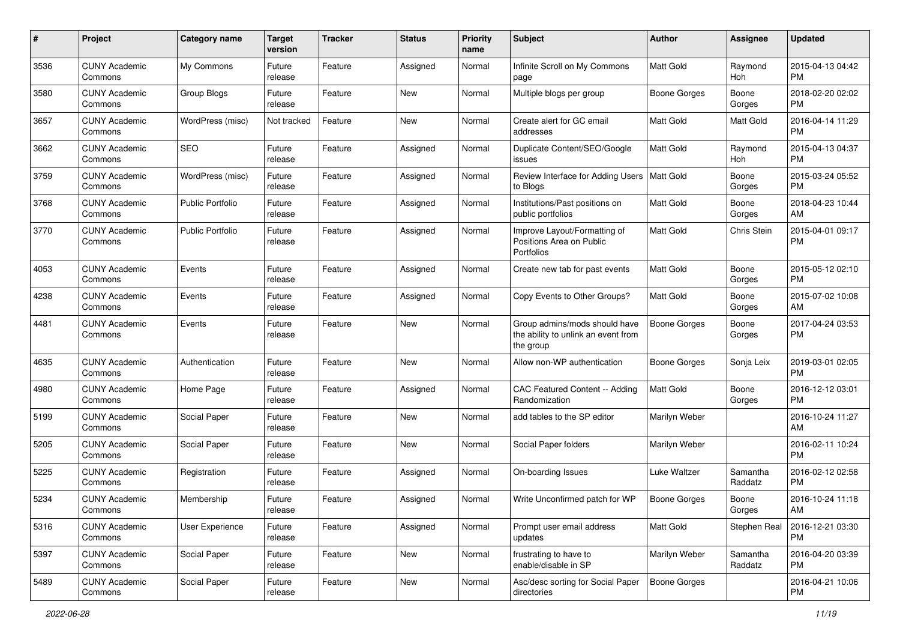| #    | Project                         | <b>Category name</b>    | <b>Target</b><br>version | <b>Tracker</b> | <b>Status</b> | <b>Priority</b><br>name | Subject                                                                           | Author              | <b>Assignee</b>     | <b>Updated</b>                |
|------|---------------------------------|-------------------------|--------------------------|----------------|---------------|-------------------------|-----------------------------------------------------------------------------------|---------------------|---------------------|-------------------------------|
| 3536 | <b>CUNY Academic</b><br>Commons | My Commons              | Future<br>release        | Feature        | Assigned      | Normal                  | Infinite Scroll on My Commons<br>page                                             | <b>Matt Gold</b>    | Raymond<br>Hoh      | 2015-04-13 04:42<br><b>PM</b> |
| 3580 | <b>CUNY Academic</b><br>Commons | Group Blogs             | Future<br>release        | Feature        | <b>New</b>    | Normal                  | Multiple blogs per group                                                          | <b>Boone Gorges</b> | Boone<br>Gorges     | 2018-02-20 02:02<br><b>PM</b> |
| 3657 | CUNY Academic<br>Commons        | WordPress (misc)        | Not tracked              | Feature        | <b>New</b>    | Normal                  | Create alert for GC email<br>addresses                                            | <b>Matt Gold</b>    | Matt Gold           | 2016-04-14 11:29<br><b>PM</b> |
| 3662 | <b>CUNY Academic</b><br>Commons | <b>SEO</b>              | Future<br>release        | Feature        | Assigned      | Normal                  | Duplicate Content/SEO/Google<br>issues                                            | <b>Matt Gold</b>    | Raymond<br>Hoh      | 2015-04-13 04:37<br><b>PM</b> |
| 3759 | <b>CUNY Academic</b><br>Commons | WordPress (misc)        | Future<br>release        | Feature        | Assigned      | Normal                  | Review Interface for Adding Users   Matt Gold<br>to Blogs                         |                     | Boone<br>Gorges     | 2015-03-24 05:52<br><b>PM</b> |
| 3768 | <b>CUNY Academic</b><br>Commons | <b>Public Portfolio</b> | Future<br>release        | Feature        | Assigned      | Normal                  | Institutions/Past positions on<br>public portfolios                               | <b>Matt Gold</b>    | Boone<br>Gorges     | 2018-04-23 10:44<br>AM        |
| 3770 | <b>CUNY Academic</b><br>Commons | <b>Public Portfolio</b> | Future<br>release        | Feature        | Assigned      | Normal                  | Improve Layout/Formatting of<br>Positions Area on Public<br>Portfolios            | Matt Gold           | Chris Stein         | 2015-04-01 09:17<br><b>PM</b> |
| 4053 | <b>CUNY Academic</b><br>Commons | Events                  | Future<br>release        | Feature        | Assigned      | Normal                  | Create new tab for past events                                                    | Matt Gold           | Boone<br>Gorges     | 2015-05-12 02:10<br><b>PM</b> |
| 4238 | <b>CUNY Academic</b><br>Commons | Events                  | Future<br>release        | Feature        | Assigned      | Normal                  | Copy Events to Other Groups?                                                      | <b>Matt Gold</b>    | Boone<br>Gorges     | 2015-07-02 10:08<br>AM        |
| 4481 | <b>CUNY Academic</b><br>Commons | Events                  | Future<br>release        | Feature        | <b>New</b>    | Normal                  | Group admins/mods should have<br>the ability to unlink an event from<br>the group | <b>Boone Gorges</b> | Boone<br>Gorges     | 2017-04-24 03:53<br><b>PM</b> |
| 4635 | <b>CUNY Academic</b><br>Commons | Authentication          | Future<br>release        | Feature        | <b>New</b>    | Normal                  | Allow non-WP authentication                                                       | <b>Boone Gorges</b> | Sonja Leix          | 2019-03-01 02:05<br><b>PM</b> |
| 4980 | <b>CUNY Academic</b><br>Commons | Home Page               | Future<br>release        | Feature        | Assigned      | Normal                  | CAC Featured Content -- Adding<br>Randomization                                   | <b>Matt Gold</b>    | Boone<br>Gorges     | 2016-12-12 03:01<br><b>PM</b> |
| 5199 | <b>CUNY Academic</b><br>Commons | Social Paper            | Future<br>release        | Feature        | <b>New</b>    | Normal                  | add tables to the SP editor                                                       | Marilyn Weber       |                     | 2016-10-24 11:27<br>AM        |
| 5205 | <b>CUNY Academic</b><br>Commons | Social Paper            | Future<br>release        | Feature        | <b>New</b>    | Normal                  | Social Paper folders                                                              | Marilyn Weber       |                     | 2016-02-11 10:24<br><b>PM</b> |
| 5225 | <b>CUNY Academic</b><br>Commons | Registration            | Future<br>release        | Feature        | Assigned      | Normal                  | On-boarding Issues                                                                | Luke Waltzer        | Samantha<br>Raddatz | 2016-02-12 02:58<br><b>PM</b> |
| 5234 | CUNY Academic<br>Commons        | Membership              | Future<br>release        | Feature        | Assigned      | Normal                  | Write Unconfirmed patch for WP                                                    | <b>Boone Gorges</b> | Boone<br>Gorges     | 2016-10-24 11:18<br>AM        |
| 5316 | <b>CUNY Academic</b><br>Commons | User Experience         | Future<br>release        | Feature        | Assigned      | Normal                  | Prompt user email address<br>updates                                              | Matt Gold           | Stephen Real        | 2016-12-21 03:30<br><b>PM</b> |
| 5397 | <b>CUNY Academic</b><br>Commons | Social Paper            | Future<br>release        | Feature        | New           | Normal                  | frustrating to have to<br>enable/disable in SP                                    | Marilyn Weber       | Samantha<br>Raddatz | 2016-04-20 03:39<br><b>PM</b> |
| 5489 | <b>CUNY Academic</b><br>Commons | Social Paper            | Future<br>release        | Feature        | New           | Normal                  | Asc/desc sorting for Social Paper<br>directories                                  | Boone Gorges        |                     | 2016-04-21 10:06<br>PM        |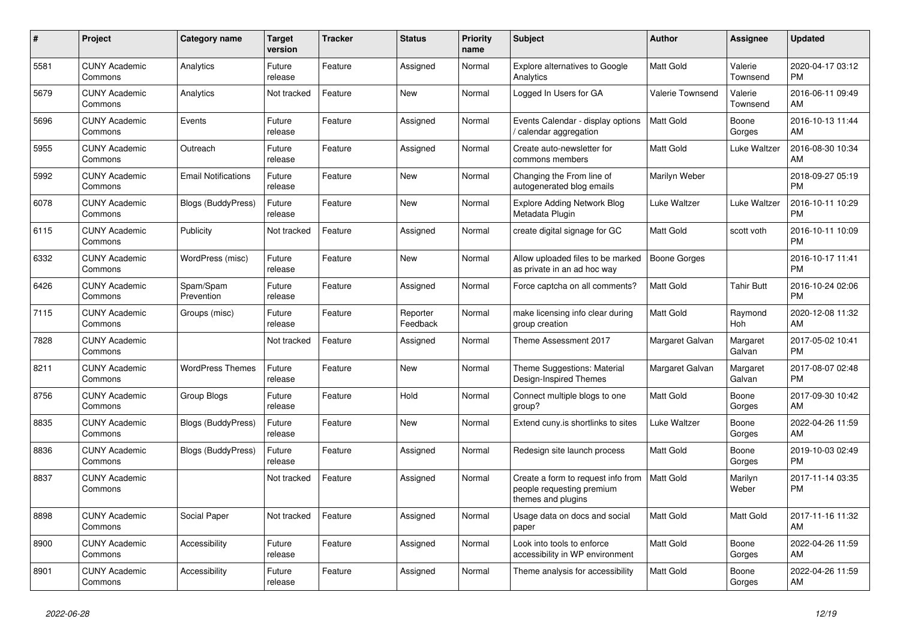| #    | Project                         | Category name              | <b>Target</b><br>version | <b>Tracker</b> | <b>Status</b>        | Priority<br>name | <b>Subject</b>                                                                        | <b>Author</b>       | <b>Assignee</b>       | <b>Updated</b>                |
|------|---------------------------------|----------------------------|--------------------------|----------------|----------------------|------------------|---------------------------------------------------------------------------------------|---------------------|-----------------------|-------------------------------|
| 5581 | <b>CUNY Academic</b><br>Commons | Analytics                  | Future<br>release        | Feature        | Assigned             | Normal           | Explore alternatives to Google<br>Analytics                                           | <b>Matt Gold</b>    | Valerie<br>Townsend   | 2020-04-17 03:12<br><b>PM</b> |
| 5679 | <b>CUNY Academic</b><br>Commons | Analytics                  | Not tracked              | Feature        | <b>New</b>           | Normal           | Logged In Users for GA                                                                | Valerie Townsend    | Valerie<br>Townsend   | 2016-06-11 09:49<br>AM        |
| 5696 | <b>CUNY Academic</b><br>Commons | Events                     | Future<br>release        | Feature        | Assigned             | Normal           | Events Calendar - display options<br>calendar aggregation                             | Matt Gold           | Boone<br>Gorges       | 2016-10-13 11:44<br>AM        |
| 5955 | <b>CUNY Academic</b><br>Commons | Outreach                   | Future<br>release        | Feature        | Assigned             | Normal           | Create auto-newsletter for<br>commons members                                         | Matt Gold           | Luke Waltzer          | 2016-08-30 10:34<br>AM        |
| 5992 | <b>CUNY Academic</b><br>Commons | <b>Email Notifications</b> | Future<br>release        | Feature        | <b>New</b>           | Normal           | Changing the From line of<br>autogenerated blog emails                                | Marilyn Weber       |                       | 2018-09-27 05:19<br><b>PM</b> |
| 6078 | <b>CUNY Academic</b><br>Commons | Blogs (BuddyPress)         | Future<br>release        | Feature        | <b>New</b>           | Normal           | <b>Explore Adding Network Blog</b><br>Metadata Plugin                                 | Luke Waltzer        | Luke Waltzer          | 2016-10-11 10:29<br><b>PM</b> |
| 6115 | <b>CUNY Academic</b><br>Commons | Publicity                  | Not tracked              | Feature        | Assigned             | Normal           | create digital signage for GC                                                         | <b>Matt Gold</b>    | scott voth            | 2016-10-11 10:09<br><b>PM</b> |
| 6332 | <b>CUNY Academic</b><br>Commons | WordPress (misc)           | Future<br>release        | Feature        | <b>New</b>           | Normal           | Allow uploaded files to be marked<br>as private in an ad hoc way                      | <b>Boone Gorges</b> |                       | 2016-10-17 11:41<br><b>PM</b> |
| 6426 | <b>CUNY Academic</b><br>Commons | Spam/Spam<br>Prevention    | Future<br>release        | Feature        | Assigned             | Normal           | Force captcha on all comments?                                                        | Matt Gold           | <b>Tahir Butt</b>     | 2016-10-24 02:06<br><b>PM</b> |
| 7115 | <b>CUNY Academic</b><br>Commons | Groups (misc)              | Future<br>release        | Feature        | Reporter<br>Feedback | Normal           | make licensing info clear during<br>group creation                                    | <b>Matt Gold</b>    | Raymond<br><b>Hoh</b> | 2020-12-08 11:32<br>AM        |
| 7828 | <b>CUNY Academic</b><br>Commons |                            | Not tracked              | Feature        | Assigned             | Normal           | Theme Assessment 2017                                                                 | Margaret Galvan     | Margaret<br>Galvan    | 2017-05-02 10:41<br><b>PM</b> |
| 8211 | <b>CUNY Academic</b><br>Commons | <b>WordPress Themes</b>    | Future<br>release        | Feature        | <b>New</b>           | Normal           | Theme Suggestions: Material<br>Design-Inspired Themes                                 | Margaret Galvan     | Margaret<br>Galvan    | 2017-08-07 02:48<br><b>PM</b> |
| 8756 | <b>CUNY Academic</b><br>Commons | Group Blogs                | Future<br>release        | Feature        | Hold                 | Normal           | Connect multiple blogs to one<br>group?                                               | <b>Matt Gold</b>    | Boone<br>Gorges       | 2017-09-30 10:42<br>AM        |
| 8835 | <b>CUNY Academic</b><br>Commons | Blogs (BuddyPress)         | Future<br>release        | Feature        | <b>New</b>           | Normal           | Extend cuny is shortlinks to sites                                                    | Luke Waltzer        | Boone<br>Gorges       | 2022-04-26 11:59<br>AM        |
| 8836 | <b>CUNY Academic</b><br>Commons | <b>Blogs (BuddyPress)</b>  | Future<br>release        | Feature        | Assigned             | Normal           | Redesign site launch process                                                          | <b>Matt Gold</b>    | Boone<br>Gorges       | 2019-10-03 02:49<br><b>PM</b> |
| 8837 | <b>CUNY Academic</b><br>Commons |                            | Not tracked              | Feature        | Assigned             | Normal           | Create a form to request info from<br>people requesting premium<br>themes and plugins | <b>Matt Gold</b>    | Marilyn<br>Weber      | 2017-11-14 03:35<br><b>PM</b> |
| 8898 | <b>CUNY Academic</b><br>Commons | Social Paper               | Not tracked              | Feature        | Assigned             | Normal           | Usage data on docs and social<br>paper                                                | <b>Matt Gold</b>    | <b>Matt Gold</b>      | 2017-11-16 11:32<br>AM        |
| 8900 | <b>CUNY Academic</b><br>Commons | Accessibility              | Future<br>release        | Feature        | Assigned             | Normal           | Look into tools to enforce<br>accessibility in WP environment                         | <b>Matt Gold</b>    | Boone<br>Gorges       | 2022-04-26 11:59<br>AM        |
| 8901 | <b>CUNY Academic</b><br>Commons | Accessibility              | Future<br>release        | Feature        | Assigned             | Normal           | Theme analysis for accessibility                                                      | <b>Matt Gold</b>    | Boone<br>Gorges       | 2022-04-26 11:59<br>AM        |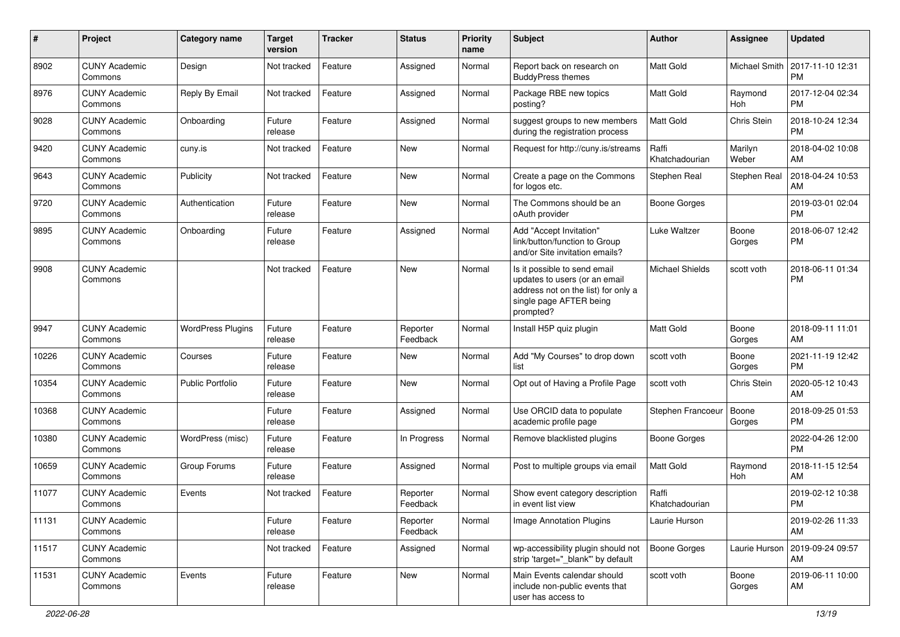| #     | Project                         | <b>Category name</b>     | <b>Target</b><br>version | <b>Tracker</b> | <b>Status</b>        | <b>Priority</b><br>name | <b>Subject</b>                                                                                                                               | Author                  | <b>Assignee</b>  | Updated                       |
|-------|---------------------------------|--------------------------|--------------------------|----------------|----------------------|-------------------------|----------------------------------------------------------------------------------------------------------------------------------------------|-------------------------|------------------|-------------------------------|
| 8902  | <b>CUNY Academic</b><br>Commons | Design                   | Not tracked              | Feature        | Assigned             | Normal                  | Report back on research on<br><b>BuddyPress themes</b>                                                                                       | Matt Gold               | Michael Smith    | 2017-11-10 12:31<br>PМ        |
| 8976  | <b>CUNY Academic</b><br>Commons | Reply By Email           | Not tracked              | Feature        | Assigned             | Normal                  | Package RBE new topics<br>posting?                                                                                                           | <b>Matt Gold</b>        | Raymond<br>Hoh   | 2017-12-04 02:34<br>РM        |
| 9028  | <b>CUNY Academic</b><br>Commons | Onboarding               | Future<br>release        | Feature        | Assigned             | Normal                  | suggest groups to new members<br>during the registration process                                                                             | Matt Gold               | Chris Stein      | 2018-10-24 12:34<br><b>PM</b> |
| 9420  | <b>CUNY Academic</b><br>Commons | cuny.is                  | Not tracked              | Feature        | <b>New</b>           | Normal                  | Request for http://cuny.is/streams                                                                                                           | Raffi<br>Khatchadourian | Marilyn<br>Weber | 2018-04-02 10:08<br>AM        |
| 9643  | <b>CUNY Academic</b><br>Commons | Publicity                | Not tracked              | Feature        | <b>New</b>           | Normal                  | Create a page on the Commons<br>for logos etc.                                                                                               | Stephen Real            | Stephen Real     | 2018-04-24 10:53<br>AM        |
| 9720  | <b>CUNY Academic</b><br>Commons | Authentication           | Future<br>release        | Feature        | New                  | Normal                  | The Commons should be an<br>oAuth provider                                                                                                   | Boone Gorges            |                  | 2019-03-01 02:04<br>PМ        |
| 9895  | <b>CUNY Academic</b><br>Commons | Onboarding               | Future<br>release        | Feature        | Assigned             | Normal                  | Add "Accept Invitation"<br>link/button/function to Group<br>and/or Site invitation emails?                                                   | Luke Waltzer            | Boone<br>Gorges  | 2018-06-07 12:42<br><b>PM</b> |
| 9908  | <b>CUNY Academic</b><br>Commons |                          | Not tracked              | Feature        | New                  | Normal                  | Is it possible to send email<br>updates to users (or an email<br>address not on the list) for only a<br>single page AFTER being<br>prompted? | Michael Shields         | scott voth       | 2018-06-11 01:34<br><b>PM</b> |
| 9947  | <b>CUNY Academic</b><br>Commons | <b>WordPress Plugins</b> | Future<br>release        | Feature        | Reporter<br>Feedback | Normal                  | Install H5P quiz plugin                                                                                                                      | Matt Gold               | Boone<br>Gorges  | 2018-09-11 11:01<br>AM        |
| 10226 | <b>CUNY Academic</b><br>Commons | Courses                  | Future<br>release        | Feature        | New                  | Normal                  | Add "My Courses" to drop down<br>list                                                                                                        | scott voth              | Boone<br>Gorges  | 2021-11-19 12:42<br><b>PM</b> |
| 10354 | <b>CUNY Academic</b><br>Commons | <b>Public Portfolio</b>  | Future<br>release        | Feature        | New                  | Normal                  | Opt out of Having a Profile Page                                                                                                             | scott voth              | Chris Stein      | 2020-05-12 10:43<br>AM        |
| 10368 | <b>CUNY Academic</b><br>Commons |                          | Future<br>release        | Feature        | Assigned             | Normal                  | Use ORCID data to populate<br>academic profile page                                                                                          | Stephen Francoeur       | Boone<br>Gorges  | 2018-09-25 01:53<br><b>PM</b> |
| 10380 | <b>CUNY Academic</b><br>Commons | WordPress (misc)         | Future<br>release        | Feature        | In Progress          | Normal                  | Remove blacklisted plugins                                                                                                                   | <b>Boone Gorges</b>     |                  | 2022-04-26 12:00<br><b>PM</b> |
| 10659 | <b>CUNY Academic</b><br>Commons | Group Forums             | Future<br>release        | Feature        | Assigned             | Normal                  | Post to multiple groups via email                                                                                                            | <b>Matt Gold</b>        | Raymond<br>Hoh   | 2018-11-15 12:54<br>AM        |
| 11077 | <b>CUNY Academic</b><br>Commons | Events                   | Not tracked              | Feature        | Reporter<br>Feedback | Normal                  | Show event category description<br>in event list view                                                                                        | Raffi<br>Khatchadourian |                  | 2019-02-12 10:38<br><b>PM</b> |
| 11131 | <b>CUNY Academic</b><br>Commons |                          | Future<br>release        | Feature        | Reporter<br>Feedback | Normal                  | Image Annotation Plugins                                                                                                                     | Laurie Hurson           |                  | 2019-02-26 11:33<br>AM        |
| 11517 | <b>CUNY Academic</b><br>Commons |                          | Not tracked              | Feature        | Assigned             | Normal                  | wp-accessibility plugin should not<br>strip 'target="_blank" by default                                                                      | <b>Boone Gorges</b>     | Laurie Hurson    | 2019-09-24 09:57<br>AM        |
| 11531 | <b>CUNY Academic</b><br>Commons | Events                   | Future<br>release        | Feature        | New                  | Normal                  | Main Events calendar should<br>include non-public events that<br>user has access to                                                          | scott voth              | Boone<br>Gorges  | 2019-06-11 10:00<br>AM        |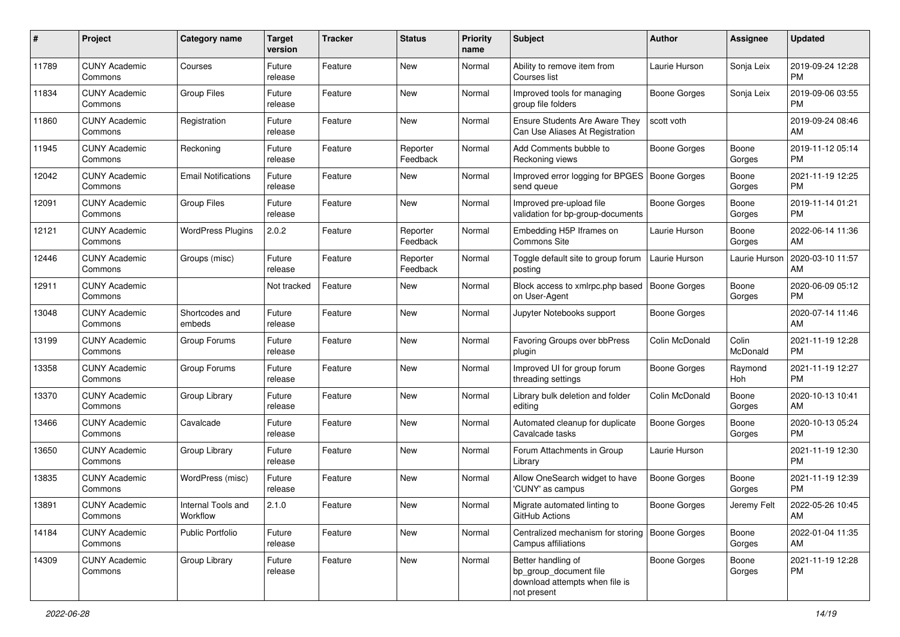| #     | Project                         | <b>Category name</b>           | Target<br>version | <b>Tracker</b> | <b>Status</b>        | <b>Priority</b><br>name | <b>Subject</b>                                                                                | Author              | Assignee          | <b>Updated</b>                |
|-------|---------------------------------|--------------------------------|-------------------|----------------|----------------------|-------------------------|-----------------------------------------------------------------------------------------------|---------------------|-------------------|-------------------------------|
| 11789 | <b>CUNY Academic</b><br>Commons | Courses                        | Future<br>release | Feature        | <b>New</b>           | Normal                  | Ability to remove item from<br>Courses list                                                   | Laurie Hurson       | Sonja Leix        | 2019-09-24 12:28<br><b>PM</b> |
| 11834 | <b>CUNY Academic</b><br>Commons | <b>Group Files</b>             | Future<br>release | Feature        | New                  | Normal                  | Improved tools for managing<br>group file folders                                             | Boone Gorges        | Sonja Leix        | 2019-09-06 03:55<br><b>PM</b> |
| 11860 | <b>CUNY Academic</b><br>Commons | Registration                   | Future<br>release | Feature        | New                  | Normal                  | <b>Ensure Students Are Aware They</b><br>Can Use Aliases At Registration                      | scott voth          |                   | 2019-09-24 08:46<br>AM        |
| 11945 | <b>CUNY Academic</b><br>Commons | Reckoning                      | Future<br>release | Feature        | Reporter<br>Feedback | Normal                  | Add Comments bubble to<br>Reckoning views                                                     | Boone Gorges        | Boone<br>Gorges   | 2019-11-12 05:14<br><b>PM</b> |
| 12042 | <b>CUNY Academic</b><br>Commons | <b>Email Notifications</b>     | Future<br>release | Feature        | New                  | Normal                  | Improved error logging for BPGES   Boone Gorges<br>send queue                                 |                     | Boone<br>Gorges   | 2021-11-19 12:25<br><b>PM</b> |
| 12091 | <b>CUNY Academic</b><br>Commons | Group Files                    | Future<br>release | Feature        | New                  | Normal                  | Improved pre-upload file<br>validation for bp-group-documents                                 | <b>Boone Gorges</b> | Boone<br>Gorges   | 2019-11-14 01:21<br><b>PM</b> |
| 12121 | <b>CUNY Academic</b><br>Commons | <b>WordPress Plugins</b>       | 2.0.2             | Feature        | Reporter<br>Feedback | Normal                  | Embedding H5P Iframes on<br><b>Commons Site</b>                                               | Laurie Hurson       | Boone<br>Gorges   | 2022-06-14 11:36<br>AM        |
| 12446 | <b>CUNY Academic</b><br>Commons | Groups (misc)                  | Future<br>release | Feature        | Reporter<br>Feedback | Normal                  | Toggle default site to group forum<br>posting                                                 | Laurie Hurson       | Laurie Hurson     | 2020-03-10 11:57<br>AM        |
| 12911 | <b>CUNY Academic</b><br>Commons |                                | Not tracked       | Feature        | New                  | Normal                  | Block access to xmlrpc.php based   Boone Gorges<br>on User-Agent                              |                     | Boone<br>Gorges   | 2020-06-09 05:12<br><b>PM</b> |
| 13048 | <b>CUNY Academic</b><br>Commons | Shortcodes and<br>embeds       | Future<br>release | Feature        | <b>New</b>           | Normal                  | Jupyter Notebooks support                                                                     | Boone Gorges        |                   | 2020-07-14 11:46<br>AM        |
| 13199 | <b>CUNY Academic</b><br>Commons | Group Forums                   | Future<br>release | Feature        | <b>New</b>           | Normal                  | Favoring Groups over bbPress<br>plugin                                                        | Colin McDonald      | Colin<br>McDonald | 2021-11-19 12:28<br><b>PM</b> |
| 13358 | <b>CUNY Academic</b><br>Commons | Group Forums                   | Future<br>release | Feature        | <b>New</b>           | Normal                  | Improved UI for group forum<br>threading settings                                             | Boone Gorges        | Raymond<br>Hoh    | 2021-11-19 12:27<br><b>PM</b> |
| 13370 | <b>CUNY Academic</b><br>Commons | Group Library                  | Future<br>release | Feature        | <b>New</b>           | Normal                  | Library bulk deletion and folder<br>editing                                                   | Colin McDonald      | Boone<br>Gorges   | 2020-10-13 10:41<br>AM        |
| 13466 | <b>CUNY Academic</b><br>Commons | Cavalcade                      | Future<br>release | Feature        | <b>New</b>           | Normal                  | Automated cleanup for duplicate<br>Cavalcade tasks                                            | Boone Gorges        | Boone<br>Gorges   | 2020-10-13 05:24<br><b>PM</b> |
| 13650 | <b>CUNY Academic</b><br>Commons | Group Library                  | Future<br>release | Feature        | <b>New</b>           | Normal                  | Forum Attachments in Group<br>Library                                                         | Laurie Hurson       |                   | 2021-11-19 12:30<br><b>PM</b> |
| 13835 | <b>CUNY Academic</b><br>Commons | WordPress (misc)               | Future<br>release | Feature        | New                  | Normal                  | Allow OneSearch widget to have<br>'CUNY' as campus                                            | <b>Boone Gorges</b> | Boone<br>Gorges   | 2021-11-19 12:39<br><b>PM</b> |
| 13891 | <b>CUNY Academic</b><br>Commons | Internal Tools and<br>Workflow | 2.1.0             | Feature        | New                  | Normal                  | Migrate automated linting to<br>GitHub Actions                                                | <b>Boone Gorges</b> | Jeremv Felt       | 2022-05-26 10:45<br>AM        |
| 14184 | <b>CUNY Academic</b><br>Commons | Public Portfolio               | Future<br>release | Feature        | New                  | Normal                  | Centralized mechanism for storing   Boone Gorges<br>Campus affiliations                       |                     | Boone<br>Gorges   | 2022-01-04 11:35<br>AM        |
| 14309 | <b>CUNY Academic</b><br>Commons | Group Library                  | Future<br>release | Feature        | New                  | Normal                  | Better handling of<br>bp_group_document file<br>download attempts when file is<br>not present | Boone Gorges        | Boone<br>Gorges   | 2021-11-19 12:28<br><b>PM</b> |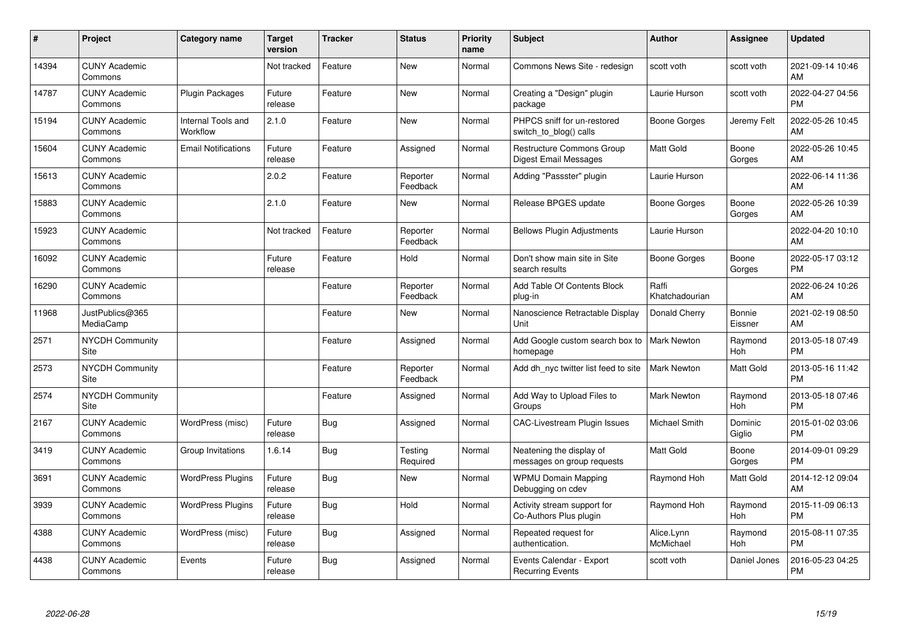| #     | Project                         | Category name                  | <b>Target</b><br>version | <b>Tracker</b> | <b>Status</b>        | <b>Priority</b><br>name | <b>Subject</b>                                            | <b>Author</b>           | <b>Assignee</b>       | <b>Updated</b>                |
|-------|---------------------------------|--------------------------------|--------------------------|----------------|----------------------|-------------------------|-----------------------------------------------------------|-------------------------|-----------------------|-------------------------------|
| 14394 | <b>CUNY Academic</b><br>Commons |                                | Not tracked              | Feature        | New                  | Normal                  | Commons News Site - redesign                              | scott voth              | scott voth            | 2021-09-14 10:46<br>AM        |
| 14787 | <b>CUNY Academic</b><br>Commons | <b>Plugin Packages</b>         | Future<br>release        | Feature        | <b>New</b>           | Normal                  | Creating a "Design" plugin<br>package                     | Laurie Hurson           | scott voth            | 2022-04-27 04:56<br><b>PM</b> |
| 15194 | <b>CUNY Academic</b><br>Commons | Internal Tools and<br>Workflow | 2.1.0                    | Feature        | <b>New</b>           | Normal                  | PHPCS sniff for un-restored<br>switch_to_blog() calls     | Boone Gorges            | Jeremy Felt           | 2022-05-26 10:45<br>AM        |
| 15604 | <b>CUNY Academic</b><br>Commons | <b>Email Notifications</b>     | Future<br>release        | Feature        | Assigned             | Normal                  | Restructure Commons Group<br><b>Digest Email Messages</b> | Matt Gold               | Boone<br>Gorges       | 2022-05-26 10:45<br>AM        |
| 15613 | <b>CUNY Academic</b><br>Commons |                                | 2.0.2                    | Feature        | Reporter<br>Feedback | Normal                  | Adding "Passster" plugin                                  | Laurie Hurson           |                       | 2022-06-14 11:36<br>AM        |
| 15883 | <b>CUNY Academic</b><br>Commons |                                | 2.1.0                    | Feature        | <b>New</b>           | Normal                  | Release BPGES update                                      | <b>Boone Gorges</b>     | Boone<br>Gorges       | 2022-05-26 10:39<br>AM        |
| 15923 | <b>CUNY Academic</b><br>Commons |                                | Not tracked              | Feature        | Reporter<br>Feedback | Normal                  | <b>Bellows Plugin Adjustments</b>                         | Laurie Hurson           |                       | 2022-04-20 10:10<br>AM        |
| 16092 | <b>CUNY Academic</b><br>Commons |                                | Future<br>release        | Feature        | Hold                 | Normal                  | Don't show main site in Site<br>search results            | Boone Gorges            | Boone<br>Gorges       | 2022-05-17 03:12<br><b>PM</b> |
| 16290 | <b>CUNY Academic</b><br>Commons |                                |                          | Feature        | Reporter<br>Feedback | Normal                  | Add Table Of Contents Block<br>plug-in                    | Raffi<br>Khatchadourian |                       | 2022-06-24 10:26<br>AM        |
| 11968 | JustPublics@365<br>MediaCamp    |                                |                          | Feature        | New                  | Normal                  | Nanoscience Retractable Display<br>Unit                   | Donald Cherry           | Bonnie<br>Eissner     | 2021-02-19 08:50<br>AM        |
| 2571  | <b>NYCDH Community</b><br>Site  |                                |                          | Feature        | Assigned             | Normal                  | Add Google custom search box to<br>homepage               | <b>Mark Newton</b>      | Raymond<br><b>Hoh</b> | 2013-05-18 07:49<br><b>PM</b> |
| 2573  | <b>NYCDH Community</b><br>Site  |                                |                          | Feature        | Reporter<br>Feedback | Normal                  | Add dh nyc twitter list feed to site                      | Mark Newton             | <b>Matt Gold</b>      | 2013-05-16 11:42<br><b>PM</b> |
| 2574  | <b>NYCDH Community</b><br>Site  |                                |                          | Feature        | Assigned             | Normal                  | Add Way to Upload Files to<br>Groups                      | <b>Mark Newton</b>      | Raymond<br><b>Hoh</b> | 2013-05-18 07:46<br><b>PM</b> |
| 2167  | <b>CUNY Academic</b><br>Commons | WordPress (misc)               | Future<br>release        | Bug            | Assigned             | Normal                  | <b>CAC-Livestream Plugin Issues</b>                       | Michael Smith           | Dominic<br>Giglio     | 2015-01-02 03:06<br>РM        |
| 3419  | <b>CUNY Academic</b><br>Commons | Group Invitations              | 1.6.14                   | Bug            | Testing<br>Required  | Normal                  | Neatening the display of<br>messages on group requests    | Matt Gold               | Boone<br>Gorges       | 2014-09-01 09:29<br><b>PM</b> |
| 3691  | <b>CUNY Academic</b><br>Commons | <b>WordPress Plugins</b>       | Future<br>release        | Bug            | New                  | Normal                  | <b>WPMU Domain Mapping</b><br>Debugging on cdev           | Raymond Hoh             | <b>Matt Gold</b>      | 2014-12-12 09:04<br>AM        |
| 3939  | <b>CUNY Academic</b><br>Commons | <b>WordPress Plugins</b>       | Future<br>release        | <b>Bug</b>     | Hold                 | Normal                  | Activity stream support for<br>Co-Authors Plus plugin     | Raymond Hoh             | Raymond<br>Hoh        | 2015-11-09 06:13<br><b>PM</b> |
| 4388  | <b>CUNY Academic</b><br>Commons | WordPress (misc)               | Future<br>release        | <b>Bug</b>     | Assigned             | Normal                  | Repeated request for<br>authentication.                   | Alice.Lynn<br>McMichael | Raymond<br>Hoh        | 2015-08-11 07:35<br><b>PM</b> |
| 4438  | <b>CUNY Academic</b><br>Commons | Events                         | Future<br>release        | <b>Bug</b>     | Assigned             | Normal                  | Events Calendar - Export<br><b>Recurring Events</b>       | scott voth              | Daniel Jones          | 2016-05-23 04:25<br>PM        |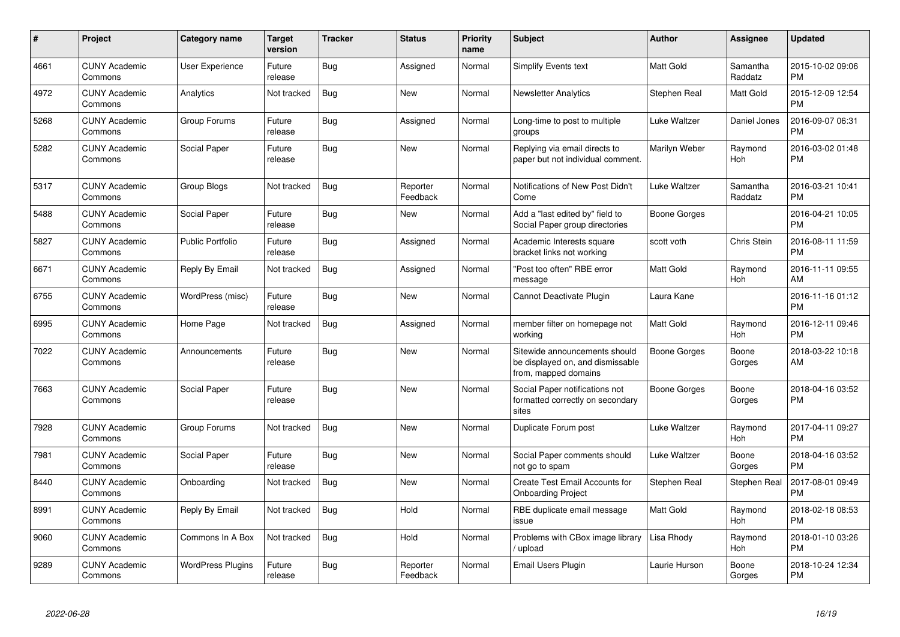| #    | Project                         | <b>Category name</b>     | <b>Target</b><br>version | <b>Tracker</b> | <b>Status</b>        | <b>Priority</b><br>name | <b>Subject</b>                                                                            | <b>Author</b>       | <b>Assignee</b>       | <b>Updated</b>                |
|------|---------------------------------|--------------------------|--------------------------|----------------|----------------------|-------------------------|-------------------------------------------------------------------------------------------|---------------------|-----------------------|-------------------------------|
| 4661 | <b>CUNY Academic</b><br>Commons | <b>User Experience</b>   | Future<br>release        | Bug            | Assigned             | Normal                  | Simplify Events text                                                                      | <b>Matt Gold</b>    | Samantha<br>Raddatz   | 2015-10-02 09:06<br><b>PM</b> |
| 4972 | <b>CUNY Academic</b><br>Commons | Analytics                | Not tracked              | Bug            | <b>New</b>           | Normal                  | <b>Newsletter Analytics</b>                                                               | Stephen Real        | <b>Matt Gold</b>      | 2015-12-09 12:54<br><b>PM</b> |
| 5268 | <b>CUNY Academic</b><br>Commons | Group Forums             | Future<br>release        | Bug            | Assigned             | Normal                  | Long-time to post to multiple<br>groups                                                   | Luke Waltzer        | Daniel Jones          | 2016-09-07 06:31<br>PM        |
| 5282 | <b>CUNY Academic</b><br>Commons | Social Paper             | Future<br>release        | <b>Bug</b>     | <b>New</b>           | Normal                  | Replying via email directs to<br>paper but not individual comment.                        | Marilyn Weber       | Raymond<br>Hoh        | 2016-03-02 01:48<br><b>PM</b> |
| 5317 | <b>CUNY Academic</b><br>Commons | Group Blogs              | Not tracked              | Bug            | Reporter<br>Feedback | Normal                  | Notifications of New Post Didn't<br>Come                                                  | Luke Waltzer        | Samantha<br>Raddatz   | 2016-03-21 10:41<br><b>PM</b> |
| 5488 | <b>CUNY Academic</b><br>Commons | Social Paper             | Future<br>release        | Bug            | <b>New</b>           | Normal                  | Add a "last edited by" field to<br>Social Paper group directories                         | <b>Boone Gorges</b> |                       | 2016-04-21 10:05<br><b>PM</b> |
| 5827 | <b>CUNY Academic</b><br>Commons | <b>Public Portfolio</b>  | Future<br>release        | Bug            | Assigned             | Normal                  | Academic Interests square<br>bracket links not working                                    | scott voth          | Chris Stein           | 2016-08-11 11:59<br><b>PM</b> |
| 6671 | <b>CUNY Academic</b><br>Commons | Reply By Email           | Not tracked              | Bug            | Assigned             | Normal                  | "Post too often" RBE error<br>message                                                     | Matt Gold           | Raymond<br>Hoh        | 2016-11-11 09:55<br>AM        |
| 6755 | <b>CUNY Academic</b><br>Commons | WordPress (misc)         | Future<br>release        | <b>Bug</b>     | <b>New</b>           | Normal                  | Cannot Deactivate Plugin                                                                  | Laura Kane          |                       | 2016-11-16 01:12<br><b>PM</b> |
| 6995 | <b>CUNY Academic</b><br>Commons | Home Page                | Not tracked              | <b>Bug</b>     | Assigned             | Normal                  | member filter on homepage not<br>working                                                  | <b>Matt Gold</b>    | Raymond<br>Hoh        | 2016-12-11 09:46<br>PM        |
| 7022 | <b>CUNY Academic</b><br>Commons | Announcements            | Future<br>release        | <b>Bug</b>     | <b>New</b>           | Normal                  | Sitewide announcements should<br>be displayed on, and dismissable<br>from, mapped domains | Boone Gorges        | Boone<br>Gorges       | 2018-03-22 10:18<br>AM        |
| 7663 | <b>CUNY Academic</b><br>Commons | Social Paper             | Future<br>release        | <b>Bug</b>     | <b>New</b>           | Normal                  | Social Paper notifications not<br>formatted correctly on secondary<br>sites               | Boone Gorges        | Boone<br>Gorges       | 2018-04-16 03:52<br><b>PM</b> |
| 7928 | <b>CUNY Academic</b><br>Commons | Group Forums             | Not tracked              | <b>Bug</b>     | <b>New</b>           | Normal                  | Duplicate Forum post                                                                      | Luke Waltzer        | Raymond<br><b>Hoh</b> | 2017-04-11 09:27<br><b>PM</b> |
| 7981 | <b>CUNY Academic</b><br>Commons | Social Paper             | Future<br>release        | Bug            | New                  | Normal                  | Social Paper comments should<br>not go to spam                                            | Luke Waltzer        | Boone<br>Gorges       | 2018-04-16 03:52<br>PМ        |
| 8440 | <b>CUNY Academic</b><br>Commons | Onboarding               | Not tracked              | Bug            | New                  | Normal                  | Create Test Email Accounts for<br><b>Onboarding Project</b>                               | Stephen Real        | Stephen Real          | 2017-08-01 09:49<br><b>PM</b> |
| 8991 | <b>CUNY Academic</b><br>Commons | Reply By Email           | Not tracked              | Bug            | Hold                 | Normal                  | RBE duplicate email message<br>issue                                                      | Matt Gold           | Raymond<br>Hoh        | 2018-02-18 08:53<br><b>PM</b> |
| 9060 | <b>CUNY Academic</b><br>Commons | Commons In A Box         | Not tracked              | Bug            | Hold                 | Normal                  | Problems with CBox image library<br>upload                                                | Lisa Rhody          | Raymond<br>Hoh        | 2018-01-10 03:26<br><b>PM</b> |
| 9289 | <b>CUNY Academic</b><br>Commons | <b>WordPress Plugins</b> | Future<br>release        | <b>Bug</b>     | Reporter<br>Feedback | Normal                  | Email Users Plugin                                                                        | Laurie Hurson       | Boone<br>Gorges       | 2018-10-24 12:34<br><b>PM</b> |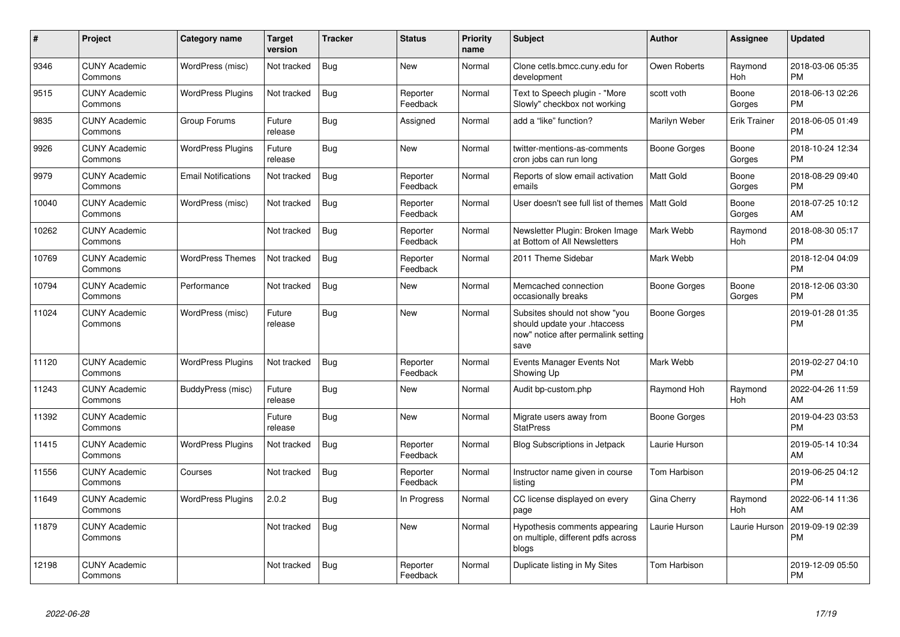| $\#$  | <b>Project</b>                  | Category name              | <b>Target</b><br>version | <b>Tracker</b> | <b>Status</b>        | <b>Priority</b><br>name | <b>Subject</b>                                                                                               | Author              | Assignee              | <b>Updated</b>                |
|-------|---------------------------------|----------------------------|--------------------------|----------------|----------------------|-------------------------|--------------------------------------------------------------------------------------------------------------|---------------------|-----------------------|-------------------------------|
| 9346  | <b>CUNY Academic</b><br>Commons | WordPress (misc)           | Not tracked              | <b>Bug</b>     | <b>New</b>           | Normal                  | Clone cetls.bmcc.cuny.edu for<br>development                                                                 | Owen Roberts        | Raymond<br>Hoh        | 2018-03-06 05:35<br><b>PM</b> |
| 9515  | <b>CUNY Academic</b><br>Commons | <b>WordPress Plugins</b>   | Not tracked              | <b>Bug</b>     | Reporter<br>Feedback | Normal                  | Text to Speech plugin - "More<br>Slowly" checkbox not working                                                | scott voth          | Boone<br>Gorges       | 2018-06-13 02:26<br><b>PM</b> |
| 9835  | <b>CUNY Academic</b><br>Commons | Group Forums               | Future<br>release        | <b>Bug</b>     | Assigned             | Normal                  | add a "like" function?                                                                                       | Marilyn Weber       | <b>Erik Trainer</b>   | 2018-06-05 01:49<br><b>PM</b> |
| 9926  | <b>CUNY Academic</b><br>Commons | <b>WordPress Plugins</b>   | Future<br>release        | Bug            | <b>New</b>           | Normal                  | twitter-mentions-as-comments<br>cron jobs can run long                                                       | Boone Gorges        | Boone<br>Gorges       | 2018-10-24 12:34<br><b>PM</b> |
| 9979  | <b>CUNY Academic</b><br>Commons | <b>Email Notifications</b> | Not tracked              | Bug            | Reporter<br>Feedback | Normal                  | Reports of slow email activation<br>emails                                                                   | Matt Gold           | Boone<br>Gorges       | 2018-08-29 09:40<br><b>PM</b> |
| 10040 | <b>CUNY Academic</b><br>Commons | WordPress (misc)           | Not tracked              | Bug            | Reporter<br>Feedback | Normal                  | User doesn't see full list of themes   Matt Gold                                                             |                     | Boone<br>Gorges       | 2018-07-25 10:12<br>AM        |
| 10262 | <b>CUNY Academic</b><br>Commons |                            | Not tracked              | <b>Bug</b>     | Reporter<br>Feedback | Normal                  | Newsletter Plugin: Broken Image<br>at Bottom of All Newsletters                                              | Mark Webb           | Raymond<br>Hoh        | 2018-08-30 05:17<br><b>PM</b> |
| 10769 | <b>CUNY Academic</b><br>Commons | <b>WordPress Themes</b>    | Not tracked              | <b>Bug</b>     | Reporter<br>Feedback | Normal                  | 2011 Theme Sidebar                                                                                           | Mark Webb           |                       | 2018-12-04 04:09<br><b>PM</b> |
| 10794 | <b>CUNY Academic</b><br>Commons | Performance                | Not tracked              | Bug            | <b>New</b>           | Normal                  | Memcached connection<br>occasionally breaks                                                                  | Boone Gorges        | Boone<br>Gorges       | 2018-12-06 03:30<br><b>PM</b> |
| 11024 | <b>CUNY Academic</b><br>Commons | WordPress (misc)           | Future<br>release        | <b>Bug</b>     | <b>New</b>           | Normal                  | Subsites should not show "you<br>should update your .htaccess<br>now" notice after permalink setting<br>save | Boone Gorges        |                       | 2019-01-28 01:35<br><b>PM</b> |
| 11120 | <b>CUNY Academic</b><br>Commons | <b>WordPress Plugins</b>   | Not tracked              | <b>Bug</b>     | Reporter<br>Feedback | Normal                  | Events Manager Events Not<br>Showing Up                                                                      | Mark Webb           |                       | 2019-02-27 04:10<br><b>PM</b> |
| 11243 | <b>CUNY Academic</b><br>Commons | BuddyPress (misc)          | Future<br>release        | <b>Bug</b>     | <b>New</b>           | Normal                  | Audit bp-custom.php                                                                                          | Raymond Hoh         | Raymond<br>Hoh        | 2022-04-26 11:59<br>AM        |
| 11392 | <b>CUNY Academic</b><br>Commons |                            | Future<br>release        | <b>Bug</b>     | <b>New</b>           | Normal                  | Migrate users away from<br><b>StatPress</b>                                                                  | Boone Gorges        |                       | 2019-04-23 03:53<br><b>PM</b> |
| 11415 | <b>CUNY Academic</b><br>Commons | <b>WordPress Plugins</b>   | Not tracked              | Bug            | Reporter<br>Feedback | Normal                  | <b>Blog Subscriptions in Jetpack</b>                                                                         | Laurie Hurson       |                       | 2019-05-14 10:34<br>AM        |
| 11556 | <b>CUNY Academic</b><br>Commons | Courses                    | Not tracked              | Bug            | Reporter<br>Feedback | Normal                  | Instructor name given in course<br>listina                                                                   | Tom Harbison        |                       | 2019-06-25 04:12<br><b>PM</b> |
| 11649 | <b>CUNY Academic</b><br>Commons | <b>WordPress Plugins</b>   | 2.0.2                    | Bug            | In Progress          | Normal                  | CC license displayed on every<br>page                                                                        | Gina Cherry         | Raymond<br><b>Hoh</b> | 2022-06-14 11:36<br>AM        |
| 11879 | <b>CUNY Academic</b><br>Commons |                            | Not tracked              | <b>Bug</b>     | <b>New</b>           | Normal                  | Hypothesis comments appearing<br>on multiple, different pdfs across<br>blogs                                 | Laurie Hurson       | Laurie Hurson         | 2019-09-19 02:39<br><b>PM</b> |
| 12198 | <b>CUNY Academic</b><br>Commons |                            | Not tracked              | Bug            | Reporter<br>Feedback | Normal                  | Duplicate listing in My Sites                                                                                | <b>Tom Harbison</b> |                       | 2019-12-09 05:50<br>PM        |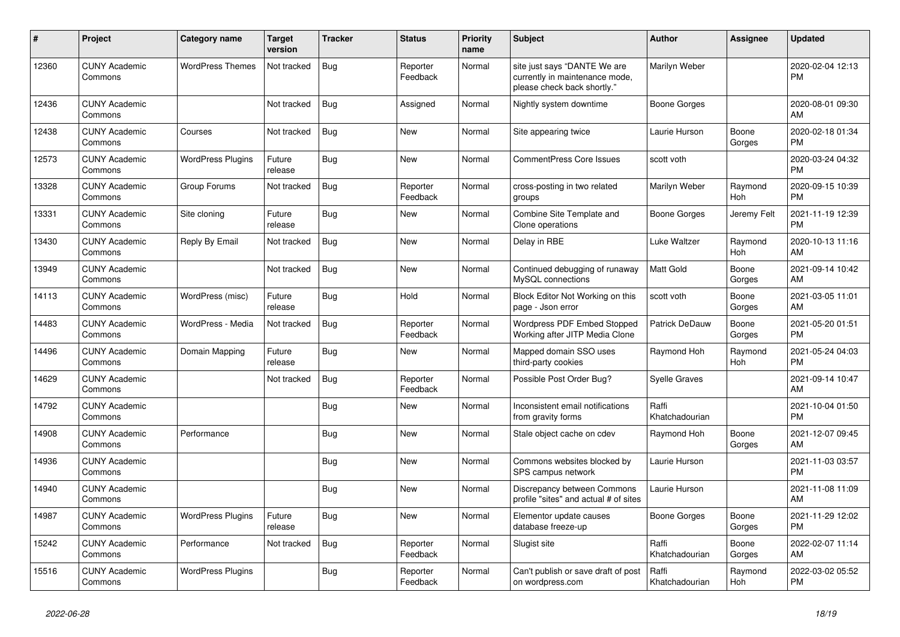| #     | Project                         | <b>Category name</b>     | Target<br>version | <b>Tracker</b> | <b>Status</b>        | <b>Priority</b><br>name | <b>Subject</b>                                                                                | <b>Author</b>           | <b>Assignee</b>       | <b>Updated</b>                |
|-------|---------------------------------|--------------------------|-------------------|----------------|----------------------|-------------------------|-----------------------------------------------------------------------------------------------|-------------------------|-----------------------|-------------------------------|
| 12360 | <b>CUNY Academic</b><br>Commons | <b>WordPress Themes</b>  | Not tracked       | <b>Bug</b>     | Reporter<br>Feedback | Normal                  | site just says "DANTE We are<br>currently in maintenance mode,<br>please check back shortly." | Marilyn Weber           |                       | 2020-02-04 12:13<br><b>PM</b> |
| 12436 | <b>CUNY Academic</b><br>Commons |                          | Not tracked       | Bug            | Assigned             | Normal                  | Nightly system downtime                                                                       | Boone Gorges            |                       | 2020-08-01 09:30<br>AM        |
| 12438 | <b>CUNY Academic</b><br>Commons | Courses                  | Not tracked       | Bug            | <b>New</b>           | Normal                  | Site appearing twice                                                                          | Laurie Hurson           | Boone<br>Gorges       | 2020-02-18 01:34<br><b>PM</b> |
| 12573 | <b>CUNY Academic</b><br>Commons | <b>WordPress Plugins</b> | Future<br>release | Bug            | New                  | Normal                  | <b>CommentPress Core Issues</b>                                                               | scott voth              |                       | 2020-03-24 04:32<br><b>PM</b> |
| 13328 | <b>CUNY Academic</b><br>Commons | Group Forums             | Not tracked       | <b>Bug</b>     | Reporter<br>Feedback | Normal                  | cross-posting in two related<br>groups                                                        | Marilyn Weber           | Raymond<br><b>Hoh</b> | 2020-09-15 10:39<br><b>PM</b> |
| 13331 | <b>CUNY Academic</b><br>Commons | Site cloning             | Future<br>release | Bug            | <b>New</b>           | Normal                  | Combine Site Template and<br>Clone operations                                                 | Boone Gorges            | Jeremy Felt           | 2021-11-19 12:39<br><b>PM</b> |
| 13430 | <b>CUNY Academic</b><br>Commons | Reply By Email           | Not tracked       | Bug            | New                  | Normal                  | Delay in RBE                                                                                  | Luke Waltzer            | Raymond<br>Hoh        | 2020-10-13 11:16<br>AM        |
| 13949 | <b>CUNY Academic</b><br>Commons |                          | Not tracked       | Bug            | <b>New</b>           | Normal                  | Continued debugging of runaway<br>MySQL connections                                           | Matt Gold               | Boone<br>Gorges       | 2021-09-14 10:42<br>AM        |
| 14113 | <b>CUNY Academic</b><br>Commons | WordPress (misc)         | Future<br>release | Bug            | Hold                 | Normal                  | Block Editor Not Working on this<br>page - Json error                                         | scott voth              | Boone<br>Gorges       | 2021-03-05 11:01<br>AM        |
| 14483 | <b>CUNY Academic</b><br>Commons | WordPress - Media        | Not tracked       | <b>Bug</b>     | Reporter<br>Feedback | Normal                  | <b>Wordpress PDF Embed Stopped</b><br>Working after JITP Media Clone                          | Patrick DeDauw          | Boone<br>Gorges       | 2021-05-20 01:51<br><b>PM</b> |
| 14496 | <b>CUNY Academic</b><br>Commons | Domain Mapping           | Future<br>release | <b>Bug</b>     | <b>New</b>           | Normal                  | Mapped domain SSO uses<br>third-party cookies                                                 | Raymond Hoh             | Raymond<br>Hoh        | 2021-05-24 04:03<br><b>PM</b> |
| 14629 | <b>CUNY Academic</b><br>Commons |                          | Not tracked       | Bug            | Reporter<br>Feedback | Normal                  | Possible Post Order Bug?                                                                      | <b>Syelle Graves</b>    |                       | 2021-09-14 10:47<br>AM        |
| 14792 | <b>CUNY Academic</b><br>Commons |                          |                   | <b>Bug</b>     | <b>New</b>           | Normal                  | Inconsistent email notifications<br>from gravity forms                                        | Raffi<br>Khatchadourian |                       | 2021-10-04 01:50<br><b>PM</b> |
| 14908 | <b>CUNY Academic</b><br>Commons | Performance              |                   | <b>Bug</b>     | <b>New</b>           | Normal                  | Stale object cache on cdev                                                                    | Raymond Hoh             | Boone<br>Gorges       | 2021-12-07 09:45<br>AM        |
| 14936 | <b>CUNY Academic</b><br>Commons |                          |                   | Bug            | New                  | Normal                  | Commons websites blocked by<br>SPS campus network                                             | Laurie Hurson           |                       | 2021-11-03 03:57<br><b>PM</b> |
| 14940 | <b>CUNY Academic</b><br>Commons |                          |                   | <b>Bug</b>     | <b>New</b>           | Normal                  | Discrepancy between Commons<br>profile "sites" and actual # of sites                          | Laurie Hurson           |                       | 2021-11-08 11:09<br>AM        |
| 14987 | <b>CUNY Academic</b><br>Commons | <b>WordPress Plugins</b> | Future<br>release | Bug            | <b>New</b>           | Normal                  | Elementor update causes<br>database freeze-up                                                 | Boone Gorges            | Boone<br>Gorges       | 2021-11-29 12:02<br><b>PM</b> |
| 15242 | <b>CUNY Academic</b><br>Commons | Performance              | Not tracked       | Bug            | Reporter<br>Feedback | Normal                  | Slugist site                                                                                  | Raffi<br>Khatchadourian | Boone<br>Gorges       | 2022-02-07 11:14<br>AM        |
| 15516 | <b>CUNY Academic</b><br>Commons | <b>WordPress Plugins</b> |                   | <b>Bug</b>     | Reporter<br>Feedback | Normal                  | Can't publish or save draft of post<br>on wordpress.com                                       | Raffi<br>Khatchadourian | Raymond<br>Hoh        | 2022-03-02 05:52<br><b>PM</b> |